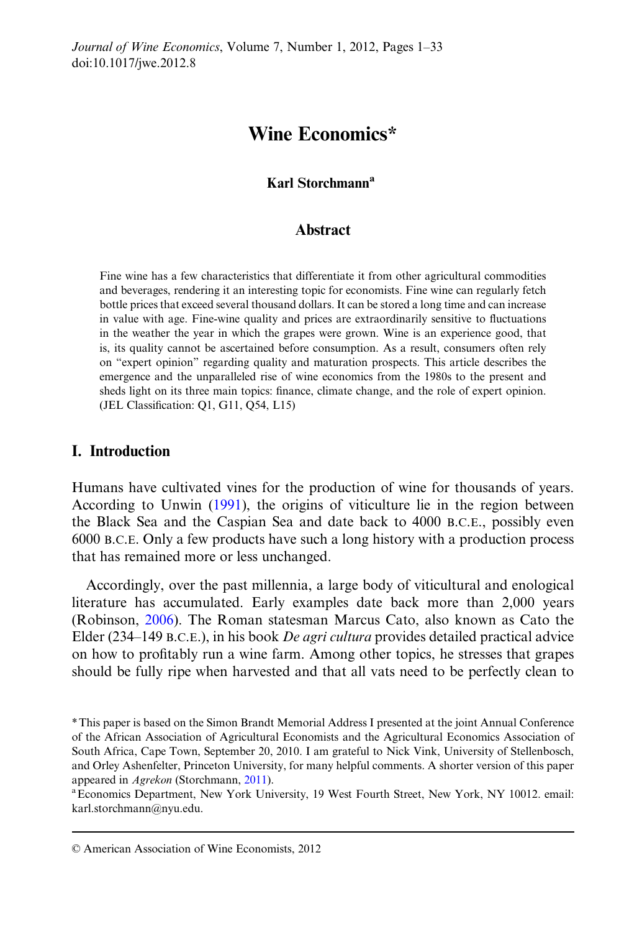# Wine Economics\*

## Karl Storchmann<sup>a</sup>

#### Abstract

Fine wine has a few characteristics that differentiate it from other agricultural commodities and beverages, rendering it an interesting topic for economists. Fine wine can regularly fetch bottle prices that exceed several thousand dollars. It can be stored a long time and can increase in value with age. Fine-wine quality and prices are extraordinarily sensitive to fluctuations in the weather the year in which the grapes were grown. Wine is an experience good, that is, its quality cannot be ascertained before consumption. As a result, consumers often rely on "expert opinion" regarding quality and maturation prospects. This article describes the emergence and the unparalleled rise of wine economics from the 1980s to the present and sheds light on its three main topics: finance, climate change, and the role of expert opinion. (JEL Classification: Q1, G11, Q54, L15)

## I. Introduction

Humans have cultivated vines for the production of wine for thousands of years. According to Unwin ([1991\)](#page-31-0), the origins of viticulture lie in the region between the Black Sea and the Caspian Sea and date back to 4000 B.C.E., possibly even 6000 B.C.E. Only a few products have such a long history with a production process that has remained more or less unchanged.

Accordingly, over the past millennia, a large body of viticultural and enological literature has accumulated. Early examples date back more than 2,000 years (Robinson, [2006](#page-31-0)). The Roman statesman Marcus Cato, also known as Cato the Elder (234–149 B.C.E.), in his book *De agri cultura* provides detailed practical advice on how to profitably run a wine farm. Among other topics, he stresses that grapes should be fully ripe when harvested and that all vats need to be perfectly clean to

\*This paper is based on the Simon Brandt Memorial Address I presented at the joint Annual Conference of the African Association of Agricultural Economists and the Agricultural Economics Association of South Africa, Cape Town, September 20, 2010. I am grateful to Nick Vink, University of Stellenbosch, and Orley Ashenfelter, Princeton University, for many helpful comments. A shorter version of this paper appeared in Agrekon (Storchmann, [2011](#page-30-0)).

<sup>a</sup> Economics Department, New York University, 19 West Fourth Street, New York, NY 10012. email: karl.storchmann@nyu.edu.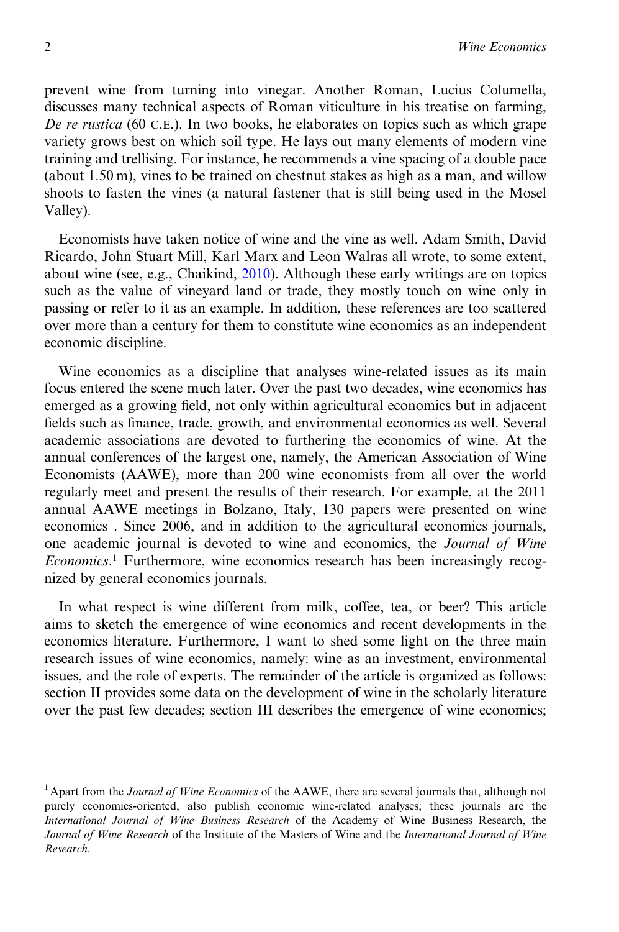prevent wine from turning into vinegar. Another Roman, Lucius Columella, discusses many technical aspects of Roman viticulture in his treatise on farming, De re rustica (60 C.E.). In two books, he elaborates on topics such as which grape variety grows best on which soil type. He lays out many elements of modern vine training and trellising. For instance, he recommends a vine spacing of a double pace (about 1.50 m), vines to be trained on chestnut stakes as high as a man, and willow shoots to fasten the vines (a natural fastener that is still being used in the Mosel Valley).

Economists have taken notice of wine and the vine as well. Adam Smith, David Ricardo, John Stuart Mill, Karl Marx and Leon Walras all wrote, to some extent, about wine (see, e.g., Chaikind, [2010](#page-29-0)). Although these early writings are on topics such as the value of vineyard land or trade, they mostly touch on wine only in passing or refer to it as an example. In addition, these references are too scattered over more than a century for them to constitute wine economics as an independent economic discipline.

Wine economics as a discipline that analyses wine-related issues as its main focus entered the scene much later. Over the past two decades, wine economics has emerged as a growing field, not only within agricultural economics but in adjacent fields such as finance, trade, growth, and environmental economics as well. Several academic associations are devoted to furthering the economics of wine. At the annual conferences of the largest one, namely, the American Association of Wine Economists (AAWE), more than 200 wine economists from all over the world regularly meet and present the results of their research. For example, at the 2011 annual AAWE meetings in Bolzano, Italy, 130 papers were presented on wine economics . Since 2006, and in addition to the agricultural economics journals, one academic journal is devoted to wine and economics, the Journal of Wine Economics. <sup>1</sup> Furthermore, wine economics research has been increasingly recognized by general economics journals.

In what respect is wine different from milk, coffee, tea, or beer? This article aims to sketch the emergence of wine economics and recent developments in the economics literature. Furthermore, I want to shed some light on the three main research issues of wine economics, namely: wine as an investment, environmental issues, and the role of experts. The remainder of the article is organized as follows: section II provides some data on the development of wine in the scholarly literature over the past few decades; section III describes the emergence of wine economics;

<sup>&</sup>lt;sup>1</sup> Apart from the *Journal of Wine Economics* of the AAWE, there are several journals that, although not purely economics-oriented, also publish economic wine-related analyses; these journals are the International Journal of Wine Business Research of the Academy of Wine Business Research, the Journal of Wine Research of the Institute of the Masters of Wine and the International Journal of Wine Research.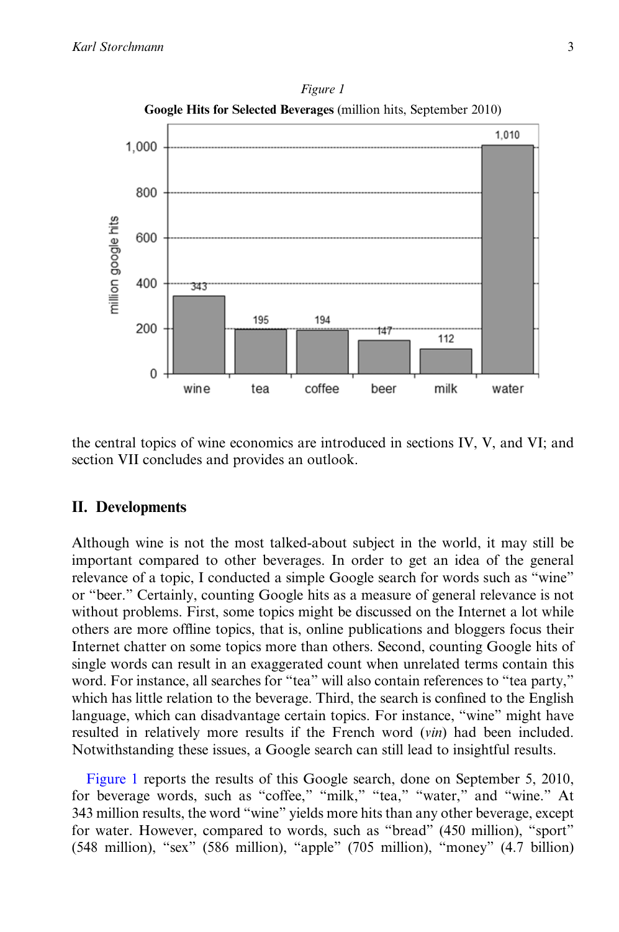

the central topics of wine economics are introduced in sections IV, V, and VI; and section VII concludes and provides an outlook.

#### II. Developments

Although wine is not the most talked-about subject in the world, it may still be important compared to other beverages. In order to get an idea of the general relevance of a topic, I conducted a simple Google search for words such as "wine" or "beer." Certainly, counting Google hits as a measure of general relevance is not without problems. First, some topics might be discussed on the Internet a lot while others are more offline topics, that is, online publications and bloggers focus their Internet chatter on some topics more than others. Second, counting Google hits of single words can result in an exaggerated count when unrelated terms contain this word. For instance, all searches for "tea" will also contain references to "tea party," which has little relation to the beverage. Third, the search is confined to the English language, which can disadvantage certain topics. For instance, "wine" might have resulted in relatively more results if the French word (vin) had been included. Notwithstanding these issues, a Google search can still lead to insightful results.

Figure 1 reports the results of this Google search, done on September 5, 2010, for beverage words, such as "coffee," "milk," "tea," "water," and "wine." At 343 million results, the word "wine" yields more hits than any other beverage, except for water. However, compared to words, such as "bread" (450 million), "sport" (548 million), "sex" (586 million), "apple" (705 million), "money" (4.7 billion)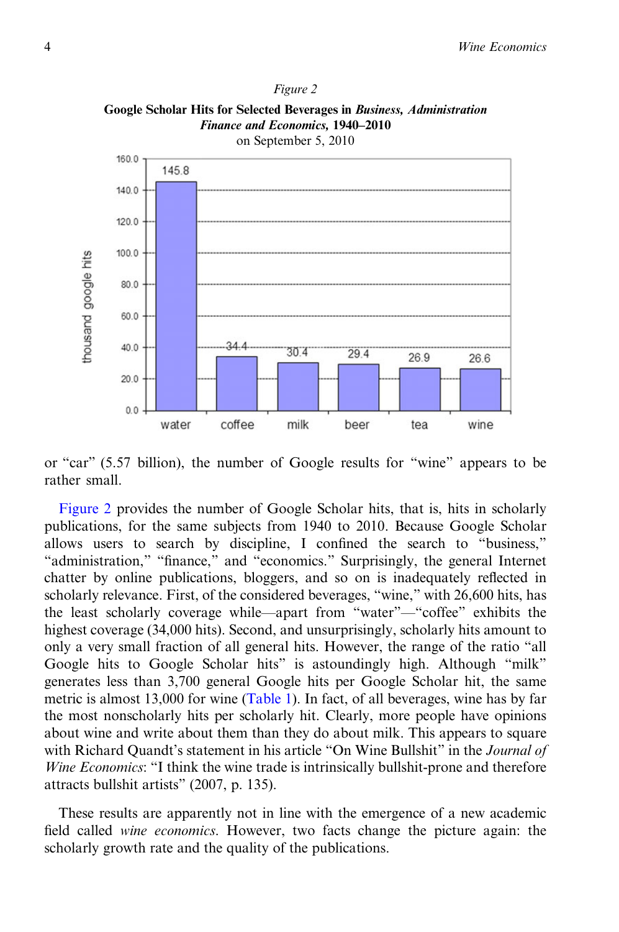

or "car" (5.57 billion), the number of Google results for "wine" appears to be rather small.

Figure 2 provides the number of Google Scholar hits, that is, hits in scholarly publications, for the same subjects from 1940 to 2010. Because Google Scholar allows users to search by discipline, I confined the search to "business," "administration," "finance," and "economics." Surprisingly, the general Internet chatter by online publications, bloggers, and so on is inadequately reflected in scholarly relevance. First, of the considered beverages, "wine," with 26,600 hits, has the least scholarly coverage while—apart from "water"—"coffee" exhibits the highest coverage (34,000 hits). Second, and unsurprisingly, scholarly hits amount to only a very small fraction of all general hits. However, the range of the ratio "all Google hits to Google Scholar hits" is astoundingly high. Although "milk" generates less than 3,700 general Google hits per Google Scholar hit, the same metric is almost 13,000 for wine ([Table 1\)](#page-4-0). In fact, of all beverages, wine has by far the most nonscholarly hits per scholarly hit. Clearly, more people have opinions about wine and write about them than they do about milk. This appears to square with Richard Quandt's statement in his article "On Wine Bullshit" in the *Journal of* Wine Economics: "I think the wine trade is intrinsically bullshit-prone and therefore attracts bullshit artists" (2007, p. 135).

These results are apparently not in line with the emergence of a new academic field called wine economics. However, two facts change the picture again: the scholarly growth rate and the quality of the publications.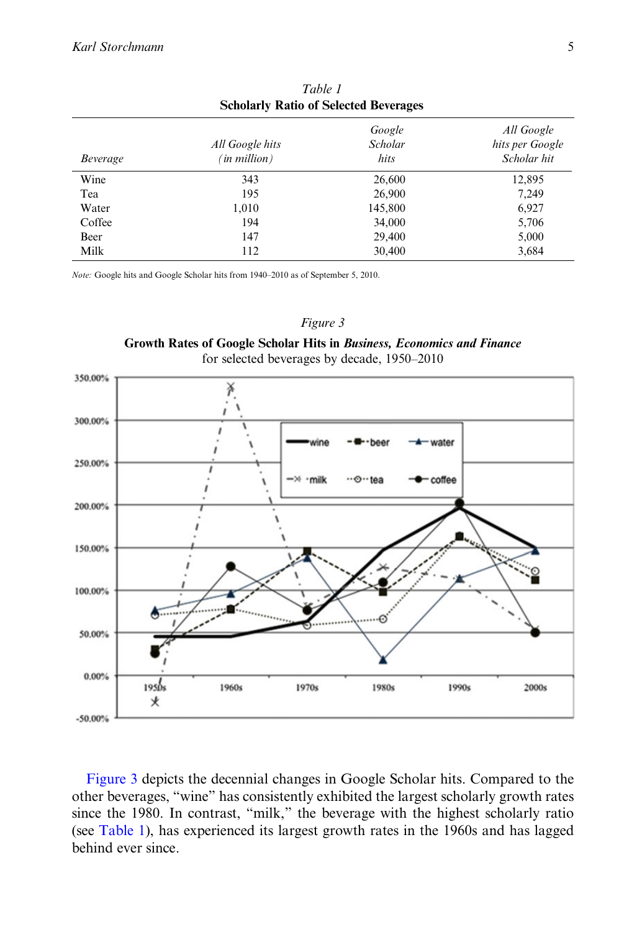<span id="page-4-0"></span>

| <i>Beverage</i> | All Google hits<br>(in million) | Google<br>Scholar<br>hits | All Google<br>hits per Google<br>Scholar hit |  |
|-----------------|---------------------------------|---------------------------|----------------------------------------------|--|
| Wine            | 343                             | 26,600                    | 12,895                                       |  |
| Tea             | 195                             | 26,900                    | 7,249                                        |  |
| Water           | 1,010                           | 145,800                   | 6,927                                        |  |
| Coffee          | 194                             | 34,000                    | 5,706                                        |  |
| Beer            | 147                             | 29,400                    | 5,000                                        |  |
| Milk            | 112                             | 30,400                    | 3,684                                        |  |

Table 1 Scholarly Ratio of Selected Beverages

Note: Google hits and Google Scholar hits from 1940–2010 as of September 5, 2010.



Figure 3 depicts the decennial changes in Google Scholar hits. Compared to the other beverages, "wine" has consistently exhibited the largest scholarly growth rates since the 1980. In contrast, "milk," the beverage with the highest scholarly ratio (see Table 1), has experienced its largest growth rates in the 1960s and has lagged behind ever since.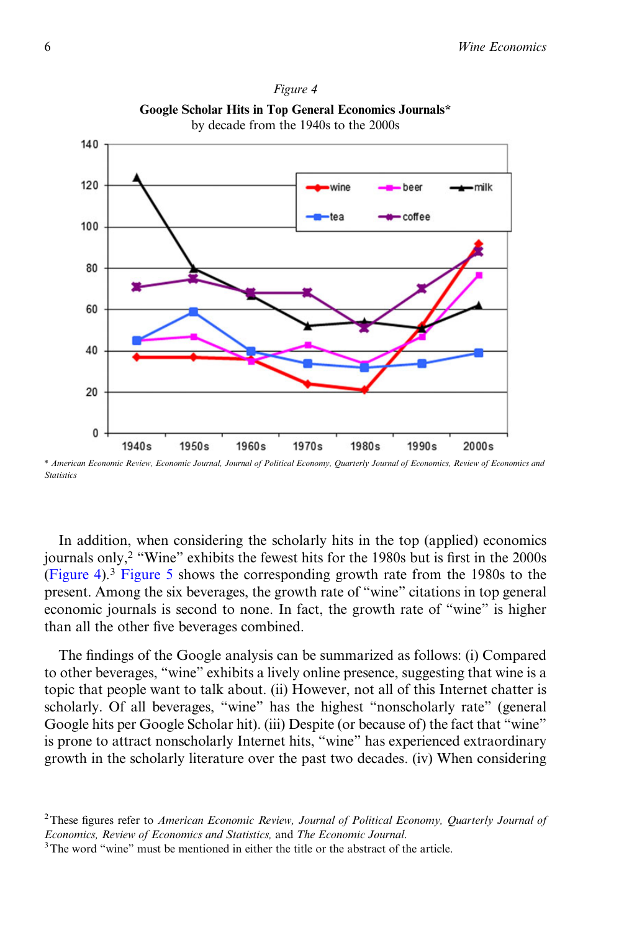

Figure 4

In addition, when considering the scholarly hits in the top (applied) economics journals only,2 "Wine" exhibits the fewest hits for the 1980s but is first in the 2000s (Figure 4).<sup>3</sup> [Figure 5](#page-6-0) shows the corresponding growth rate from the 1980s to the present. Among the six beverages, the growth rate of "wine" citations in top general economic journals is second to none. In fact, the growth rate of "wine" is higher than all the other five beverages combined.

The findings of the Google analysis can be summarized as follows: (i) Compared to other beverages, "wine" exhibits a lively online presence, suggesting that wine is a topic that people want to talk about. (ii) However, not all of this Internet chatter is scholarly. Of all beverages, "wine" has the highest "nonscholarly rate" (general Google hits per Google Scholar hit). (iii) Despite (or because of) the fact that "wine" is prone to attract nonscholarly Internet hits, "wine" has experienced extraordinary growth in the scholarly literature over the past two decades. (iv) When considering

<sup>\*</sup> American Economic Review, Economic Journal, Journal of Political Economy, Quarterly Journal of Economics, Review of Economics and Statistics

 $2$ These figures refer to American Economic Review, Journal of Political Economy, Quarterly Journal of Economics, Review of Economics and Statistics, and The Economic Journal.

<sup>&</sup>lt;sup>3</sup>The word "wine" must be mentioned in either the title or the abstract of the article.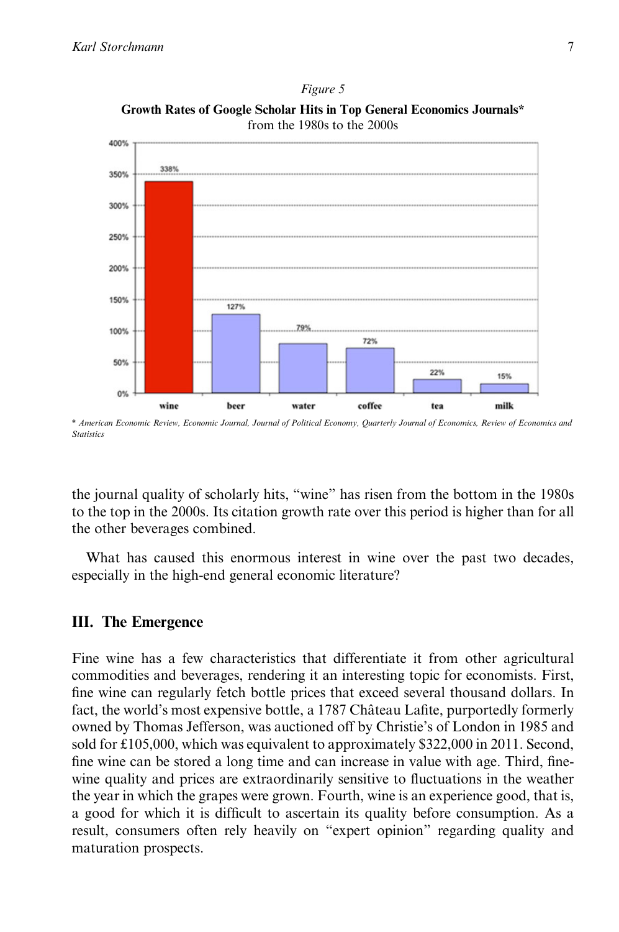

<span id="page-6-0"></span>Figure 5 Growth Rates of Google Scholar Hits in Top General Economics Journals\* from the 1980s to the 2000s

the journal quality of scholarly hits, "wine" has risen from the bottom in the 1980s to the top in the 2000s. Its citation growth rate over this period is higher than for all the other beverages combined.

What has caused this enormous interest in wine over the past two decades, especially in the high-end general economic literature?

# III. The Emergence

Fine wine has a few characteristics that differentiate it from other agricultural commodities and beverages, rendering it an interesting topic for economists. First, fine wine can regularly fetch bottle prices that exceed several thousand dollars. In fact, the world's most expensive bottle, a 1787 Château Lafite, purportedly formerly owned by Thomas Jefferson, was auctioned off by Christie's of London in 1985 and sold for £105,000, which was equivalent to approximately \$322,000 in 2011. Second, fine wine can be stored a long time and can increase in value with age. Third, finewine quality and prices are extraordinarily sensitive to fluctuations in the weather the year in which the grapes were grown. Fourth, wine is an experience good, that is, a good for which it is difficult to ascertain its quality before consumption. As a result, consumers often rely heavily on "expert opinion" regarding quality and maturation prospects.

<sup>\*</sup> American Economic Review, Economic Journal, Journal of Political Economy, Quarterly Journal of Economics, Review of Economics and Statistics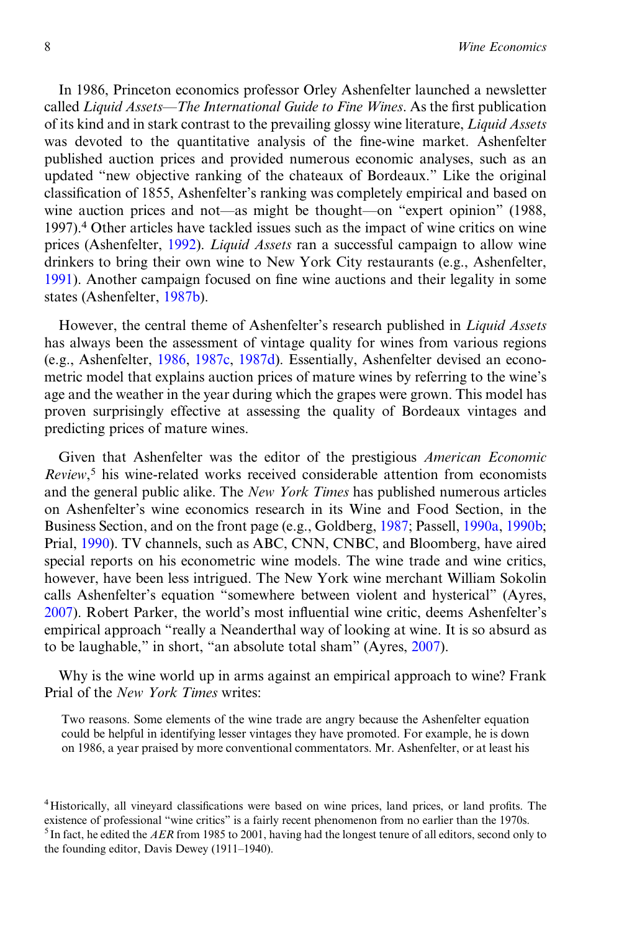In 1986, Princeton economics professor Orley Ashenfelter launched a newsletter called Liquid Assets—The International Guide to Fine Wines. As the first publication of its kind and in stark contrast to the prevailing glossy wine literature, *Liquid Assets* was devoted to the quantitative analysis of the fine-wine market. Ashenfelter published auction prices and provided numerous economic analyses, such as an updated "new objective ranking of the chateaux of Bordeaux." Like the original classification of 1855, Ashenfelter's ranking was completely empirical and based on wine auction prices and not—as might be thought—on "expert opinion" (1988, 1997).4 Other articles have tackled issues such as the impact of wine critics on wine prices (Ashenfelter, [1992\)](#page-28-0). Liquid Assets ran a successful campaign to allow wine drinkers to bring their own wine to New York City restaurants (e.g., Ashenfelter, [1991\)](#page-28-0). Another campaign focused on fine wine auctions and their legality in some states (Ashenfelter, [1987b](#page-28-0)).

However, the central theme of Ashenfelter's research published in Liquid Assets has always been the assessment of vintage quality for wines from various regions (e.g., Ashenfelter, [1986,](#page-28-0) [1987c](#page-28-0), [1987d\)](#page-28-0). Essentially, Ashenfelter devised an econometric model that explains auction prices of mature wines by referring to the wine's age and the weather in the year during which the grapes were grown. This model has proven surprisingly effective at assessing the quality of Bordeaux vintages and predicting prices of mature wines.

Given that Ashenfelter was the editor of the prestigious American Economic Review, <sup>5</sup> his wine-related works received considerable attention from economists and the general public alike. The New York Times has published numerous articles on Ashenfelter's wine economics research in its Wine and Food Section, in the Business Section, and on the front page (e.g., Goldberg, [1987;](#page-29-0) Passell, [1990a,](#page-31-0) [1990b](#page-31-0); Prial, [1990](#page-31-0)). TV channels, such as ABC, CNN, CNBC, and Bloomberg, have aired special reports on his econometric wine models. The wine trade and wine critics, however, have been less intrigued. The New York wine merchant William Sokolin calls Ashenfelter's equation "somewhere between violent and hysterical" (Ayres, [2007\)](#page-29-0). Robert Parker, the world's most influential wine critic, deems Ashenfelter's empirical approach "really a Neanderthal way of looking at wine. It is so absurd as to be laughable," in short, "an absolute total sham" (Ayres, [2007\)](#page-29-0).

Why is the wine world up in arms against an empirical approach to wine? Frank Prial of the New York Times writes:

Two reasons. Some elements of the wine trade are angry because the Ashenfelter equation could be helpful in identifying lesser vintages they have promoted. For example, he is down on 1986, a year praised by more conventional commentators. Mr. Ashenfelter, or at least his

<sup>4</sup>Historically, all vineyard classifications were based on wine prices, land prices, or land profits. The existence of professional "wine critics" is a fairly recent phenomenon from no earlier than the 1970s.<br><sup>5</sup> In fact, he edited the AER from 1985 to 2001, having had the longest tenure of all editors, second only to the founding editor, Davis Dewey (1911–1940).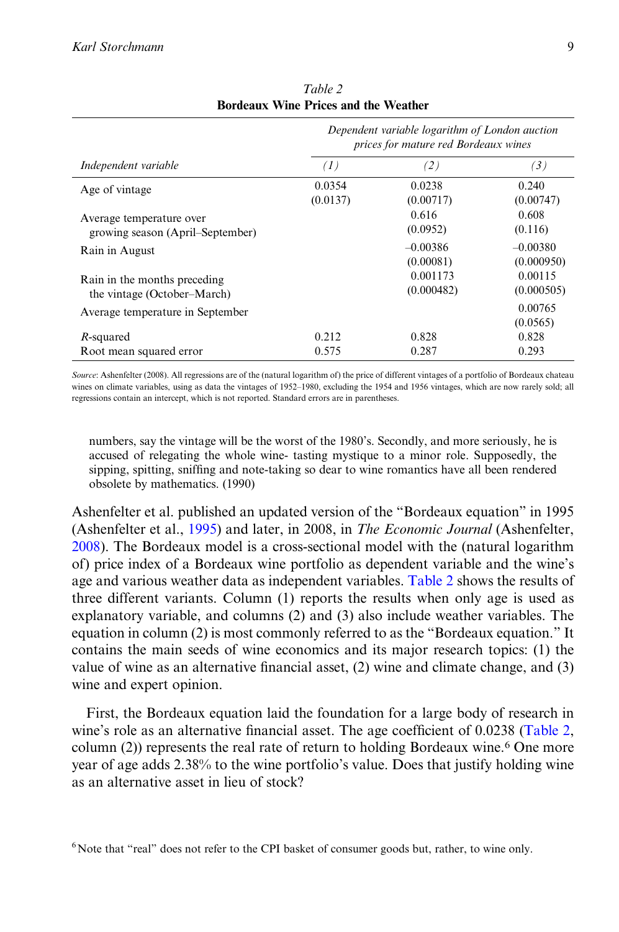<span id="page-8-0"></span>

| Dependent variable logarithm of London auction<br>prices for mature red Bordeaux wines |                         |                          |  |
|----------------------------------------------------------------------------------------|-------------------------|--------------------------|--|
| (1)                                                                                    | $\langle 2 \rangle$     | (3)                      |  |
| 0.0354<br>(0.0137)                                                                     | 0.0238<br>(0.00717)     | 0.240<br>(0.00747)       |  |
|                                                                                        | 0.616<br>(0.0952)       | 0.608<br>(0.116)         |  |
|                                                                                        | $-0.00386$<br>(0.00081) | $-0.00380$<br>(0.000950) |  |
|                                                                                        | 0.001173<br>(0.000482)  | 0.00115<br>(0.000505)    |  |
|                                                                                        |                         | 0.00765<br>(0.0565)      |  |
| 0.212                                                                                  | 0.828                   | 0.828<br>0.293           |  |
|                                                                                        | 0.575                   | 0.287                    |  |

Table 2 Bordeaux Wine Prices and the Weather

Source: Ashenfelter (2008). All regressions are of the (natural logarithm of) the price of different vintages of a portfolio of Bordeaux chateau wines on climate variables, using as data the vintages of 1952–1980, excluding the 1954 and 1956 vintages, which are now rarely sold; all regressions contain an intercept, which is not reported. Standard errors are in parentheses.

numbers, say the vintage will be the worst of the 1980's. Secondly, and more seriously, he is accused of relegating the whole wine- tasting mystique to a minor role. Supposedly, the sipping, spitting, sniffing and note-taking so dear to wine romantics have all been rendered obsolete by mathematics. (1990)

Ashenfelter et al. published an updated version of the "Bordeaux equation" in 1995 (Ashenfelter et al., [1995](#page-28-0)) and later, in 2008, in The Economic Journal (Ashenfelter, [2008](#page-28-0)). The Bordeaux model is a cross-sectional model with the (natural logarithm of) price index of a Bordeaux wine portfolio as dependent variable and the wine's age and various weather data as independent variables. Table 2 shows the results of three different variants. Column (1) reports the results when only age is used as explanatory variable, and columns (2) and (3) also include weather variables. The equation in column (2) is most commonly referred to as the "Bordeaux equation." It contains the main seeds of wine economics and its major research topics: (1) the value of wine as an alternative financial asset, (2) wine and climate change, and (3) wine and expert opinion.

First, the Bordeaux equation laid the foundation for a large body of research in wine's role as an alternative financial asset. The age coefficient of 0.0238 (Table 2, column  $(2)$ ) represents the real rate of return to holding Bordeaux wine.<sup>6</sup> One more year of age adds 2.38% to the wine portfolio's value. Does that justify holding wine as an alternative asset in lieu of stock?

<sup>6</sup>Note that "real" does not refer to the CPI basket of consumer goods but, rather, to wine only.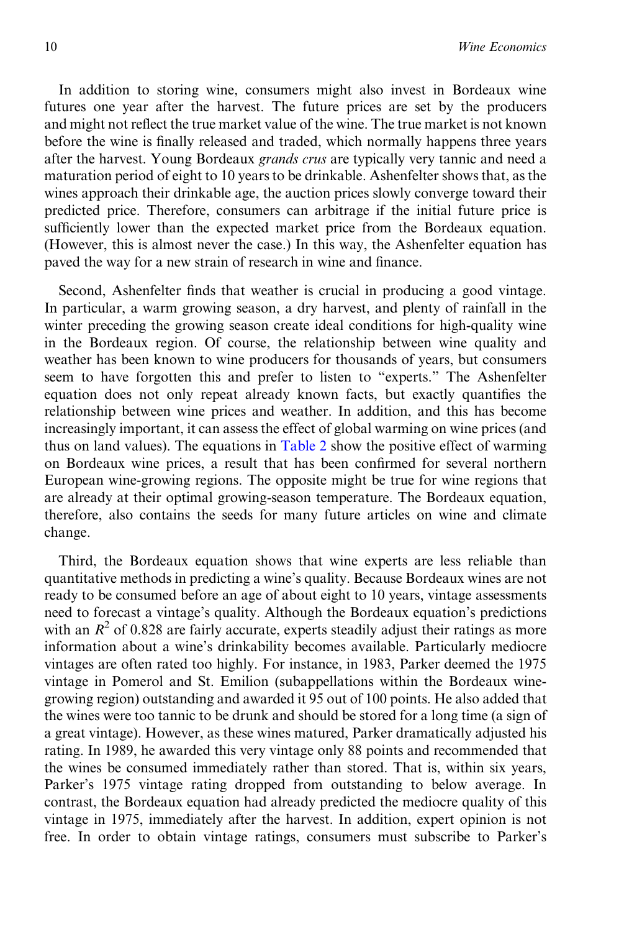In addition to storing wine, consumers might also invest in Bordeaux wine futures one year after the harvest. The future prices are set by the producers and might not reflect the true market value of the wine. The true market is not known before the wine is finally released and traded, which normally happens three years after the harvest. Young Bordeaux grands crus are typically very tannic and need a maturation period of eight to 10 years to be drinkable. Ashenfelter shows that, as the wines approach their drinkable age, the auction prices slowly converge toward their predicted price. Therefore, consumers can arbitrage if the initial future price is sufficiently lower than the expected market price from the Bordeaux equation. (However, this is almost never the case.) In this way, the Ashenfelter equation has paved the way for a new strain of research in wine and finance.

Second, Ashenfelter finds that weather is crucial in producing a good vintage. In particular, a warm growing season, a dry harvest, and plenty of rainfall in the winter preceding the growing season create ideal conditions for high-quality wine in the Bordeaux region. Of course, the relationship between wine quality and weather has been known to wine producers for thousands of years, but consumers seem to have forgotten this and prefer to listen to "experts." The Ashenfelter equation does not only repeat already known facts, but exactly quantifies the relationship between wine prices and weather. In addition, and this has become increasingly important, it can assess the effect of global warming on wine prices (and thus on land values). The equations in [Table 2](#page-8-0) show the positive effect of warming on Bordeaux wine prices, a result that has been confirmed for several northern European wine-growing regions. The opposite might be true for wine regions that are already at their optimal growing-season temperature. The Bordeaux equation, therefore, also contains the seeds for many future articles on wine and climate change.

Third, the Bordeaux equation shows that wine experts are less reliable than quantitative methods in predicting a wine's quality. Because Bordeaux wines are not ready to be consumed before an age of about eight to 10 years, vintage assessments need to forecast a vintage's quality. Although the Bordeaux equation's predictions with an  $R^2$  of 0.828 are fairly accurate, experts steadily adjust their ratings as more information about a wine's drinkability becomes available. Particularly mediocre vintages are often rated too highly. For instance, in 1983, Parker deemed the 1975 vintage in Pomerol and St. Emilion (subappellations within the Bordeaux winegrowing region) outstanding and awarded it 95 out of 100 points. He also added that the wines were too tannic to be drunk and should be stored for a long time (a sign of a great vintage). However, as these wines matured, Parker dramatically adjusted his rating. In 1989, he awarded this very vintage only 88 points and recommended that the wines be consumed immediately rather than stored. That is, within six years, Parker's 1975 vintage rating dropped from outstanding to below average. In contrast, the Bordeaux equation had already predicted the mediocre quality of this vintage in 1975, immediately after the harvest. In addition, expert opinion is not free. In order to obtain vintage ratings, consumers must subscribe to Parker's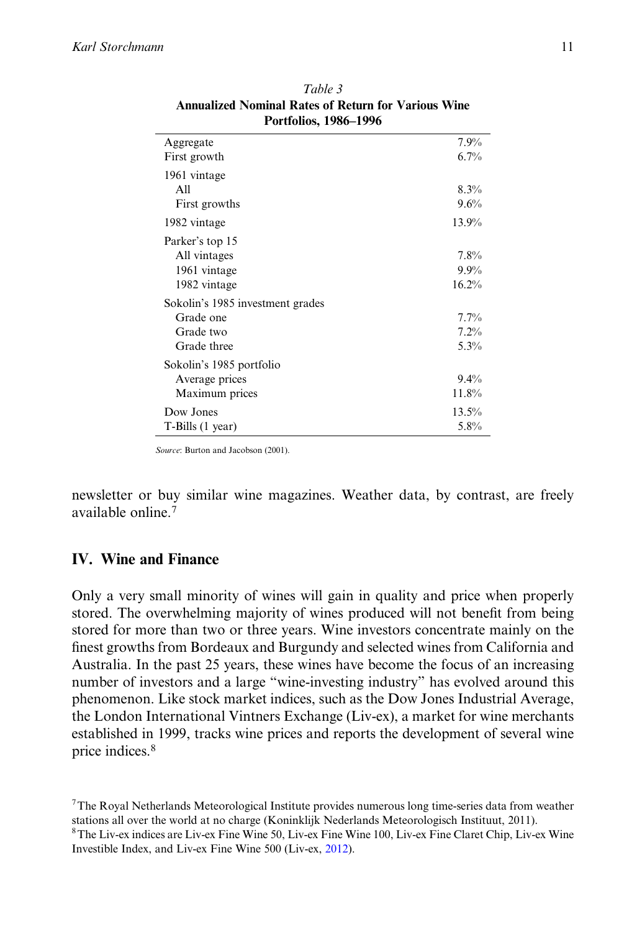| Portfolios, 1986–1996            |         |  |  |
|----------------------------------|---------|--|--|
| Aggregate                        | 7.9%    |  |  |
| First growth                     | 6.7%    |  |  |
| 1961 vintage                     |         |  |  |
| A11                              | 8.3%    |  |  |
| First growths                    | 9.6%    |  |  |
| 1982 vintage                     | 13.9%   |  |  |
| Parker's top 15                  |         |  |  |
| All vintages                     | 7.8%    |  |  |
| 1961 vintage                     | $9.9\%$ |  |  |
| 1982 vintage                     | 16.2%   |  |  |
| Sokolin's 1985 investment grades |         |  |  |
| Grade one                        | 7.7%    |  |  |
| Grade two                        | 7.2%    |  |  |
| Grade three                      | 5.3%    |  |  |
| Sokolin's 1985 portfolio         |         |  |  |
| Average prices                   | $9.4\%$ |  |  |
| Maximum prices                   | 11.8%   |  |  |
| Dow Jones                        | 13.5%   |  |  |
| T-Bills (1 year)                 | 5.8%    |  |  |

<span id="page-10-0"></span>Table 3 Annualized Nominal Rates of Return for Various Wine Portfolios, 1986–1996

Source: Burton and Jacobson (2001).

newsletter or buy similar wine magazines. Weather data, by contrast, are freely available online.<sup>7</sup>

#### IV. Wine and Finance

Only a very small minority of wines will gain in quality and price when properly stored. The overwhelming majority of wines produced will not benefit from being stored for more than two or three years. Wine investors concentrate mainly on the finest growths from Bordeaux and Burgundy and selected wines from California and Australia. In the past 25 years, these wines have become the focus of an increasing number of investors and a large "wine-investing industry" has evolved around this phenomenon. Like stock market indices, such as the Dow Jones Industrial Average, the London International Vintners Exchange (Liv-ex), a market for wine merchants established in 1999, tracks wine prices and reports the development of several wine price indices.<sup>8</sup>

 $<sup>7</sup>$ The Royal Netherlands Meteorological Institute provides numerous long time-series data from weather</sup> stations all over the world at no charge (Koninklijk Nederlands Meteorologisch Instituut, 2011).

<sup>&</sup>lt;sup>8</sup> The Liv-ex indices are Liv-ex Fine Wine 50, Liv-ex Fine Wine 100, Liv-ex Fine Claret Chip, Liv-ex Wine Investible Index, and Liv-ex Fine Wine 500 (Liv-ex, [2012\)](#page-30-0).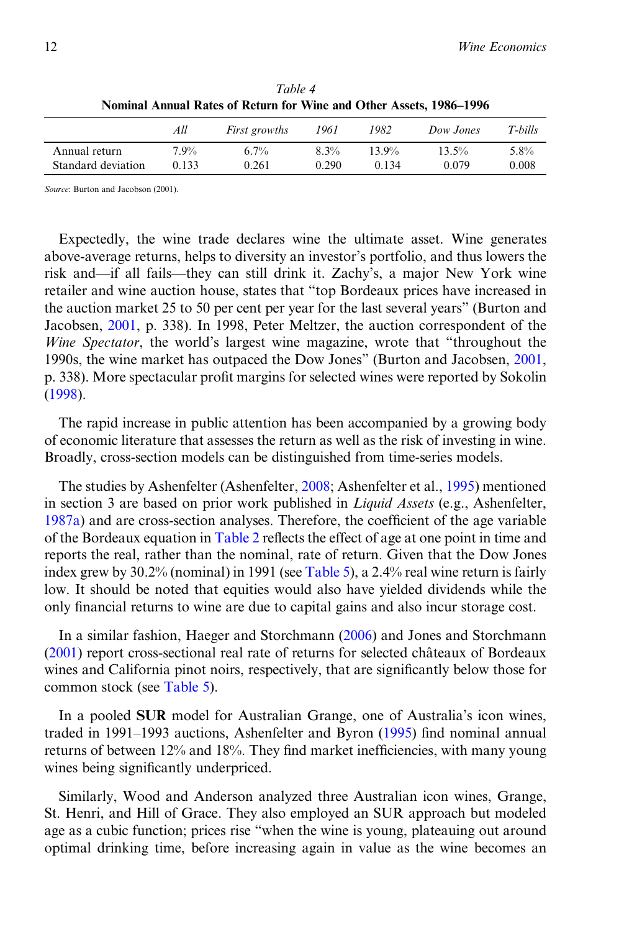<span id="page-11-0"></span>

| $1$ vollinai Alinuai Kates of Keturn for White and Other Assets, 1700–1770 |         |               |       |          |           |         |
|----------------------------------------------------------------------------|---------|---------------|-------|----------|-----------|---------|
|                                                                            | All     | First growths | 1961  | 1982     | Dow Jones | T-bills |
| Annual return                                                              | $7.9\%$ | $6.7\%$       | 8.3%  | $13.9\%$ | $13.5\%$  | 5.8%    |
| Standard deviation                                                         | 0.133   | 0.261         | 0.290 | 0.134    | 0.079     | 0.008   |

Table 4 nual Rates of Return for Wine and Other Assets,  $1086-1006$ 

Source: Burton and Jacobson (2001).

Expectedly, the wine trade declares wine the ultimate asset. Wine generates above-average returns, helps to diversity an investor's portfolio, and thus lowers the risk and—if all fails—they can still drink it. Zachy's, a major New York wine retailer and wine auction house, states that "top Bordeaux prices have increased in the auction market 25 to 50 per cent per year for the last several years" (Burton and Jacobsen, [2001](#page-29-0), p. 338). In 1998, Peter Meltzer, the auction correspondent of the Wine Spectator, the world's largest wine magazine, wrote that "throughout the 1990s, the wine market has outpaced the Dow Jones" (Burton and Jacobsen, [2001](#page-29-0), p. 338). More spectacular profit margins for selected wines were reported by Sokolin [\(1998](#page-31-0)).

The rapid increase in public attention has been accompanied by a growing body of economic literature that assesses the return as well as the risk of investing in wine. Broadly, cross-section models can be distinguished from time-series models.

The studies by Ashenfelter (Ashenfelter, [2008](#page-28-0); Ashenfelter et al., [1995\)](#page-28-0) mentioned in section 3 are based on prior work published in *Liquid Assets* (e.g., Ashenfelter, [1987a\)](#page-28-0) and are cross-section analyses. Therefore, the coefficient of the age variable of the Bordeaux equation in [Table 2](#page-8-0) reflects the effect of age at one point in time and reports the real, rather than the nominal, rate of return. Given that the Dow Jones index grew by 30.2% (nominal) in 1991 (see [Table 5\)](#page-12-0), a 2.4% real wine return is fairly low. It should be noted that equities would also have yielded dividends while the only financial returns to wine are due to capital gains and also incur storage cost.

In a similar fashion, Haeger and Storchmann [\(2006](#page-30-0)) and Jones and Storchmann [\(2001](#page-30-0)) report cross-sectional real rate of returns for selected châteaux of Bordeaux wines and California pinot noirs, respectively, that are significantly below those for common stock (see [Table 5](#page-12-0)).

In a pooled SUR model for Australian Grange, one of Australia's icon wines, traded in 1991–1993 auctions, Ashenfelter and Byron [\(1995](#page-29-0)) find nominal annual returns of between 12% and 18%. They find market inefficiencies, with many young wines being significantly underpriced.

Similarly, Wood and Anderson analyzed three Australian icon wines, Grange, St. Henri, and Hill of Grace. They also employed an SUR approach but modeled age as a cubic function; prices rise "when the wine is young, plateauing out around optimal drinking time, before increasing again in value as the wine becomes an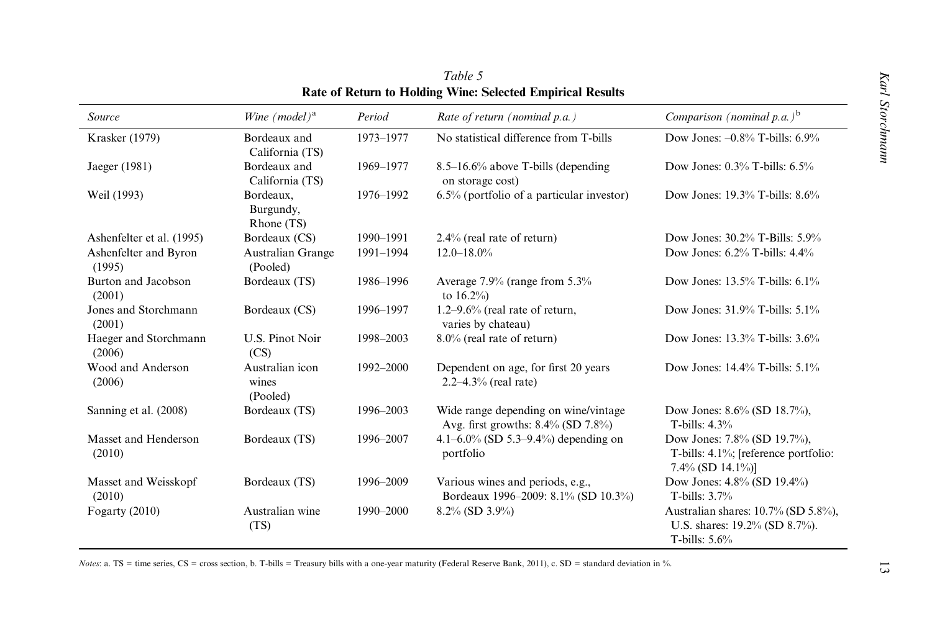<span id="page-12-0"></span>

| Source                          | Wine $(mod l)^a$                     | Period    | Rate of return (nominal p.a.)                                                 | Comparison (nominal p.a.) $^{\rm b}$                                                           |
|---------------------------------|--------------------------------------|-----------|-------------------------------------------------------------------------------|------------------------------------------------------------------------------------------------|
| <b>Krasker</b> (1979)           | Bordeaux and<br>California (TS)      | 1973-1977 | No statistical difference from T-bills                                        | Dow Jones: $-0.8\%$ T-bills: 6.9%                                                              |
| Jaeger (1981)                   | Bordeaux and<br>California (TS)      | 1969-1977 | $8.5-16.6\%$ above T-bills (depending<br>on storage cost)                     | Dow Jones: $0.3\%$ T-bills: $6.5\%$                                                            |
| Weil (1993)                     | Bordeaux,<br>Burgundy,<br>Rhone (TS) | 1976-1992 | $6.5\%$ (portfolio of a particular investor)                                  | Dow Jones: $19.3\%$ T-bills: $8.6\%$                                                           |
| Ashenfelter et al. (1995)       | Bordeaux (CS)                        | 1990-1991 | $2.4\%$ (real rate of return)                                                 | Dow Jones: 30.2% T-Bills: 5.9%                                                                 |
| Ashenfelter and Byron<br>(1995) | <b>Australian Grange</b><br>(Pooled) | 1991-1994 | $12.0 - 18.0\%$                                                               | Dow Jones: $6.2\%$ T-bills: $4.4\%$                                                            |
| Burton and Jacobson<br>(2001)   | Bordeaux (TS)                        | 1986-1996 | Average $7.9\%$ (range from $5.3\%$<br>to $16.2\%$ )                          | Dow Jones: $13.5\%$ T-bills: $6.1\%$                                                           |
| Jones and Storchmann<br>(2001)  | Bordeaux (CS)                        | 1996-1997 | $1.2 - 9.6\%$ (real rate of return,<br>varies by chateau)                     | Dow Jones: $31.9\%$ T-bills: $5.1\%$                                                           |
| Haeger and Storchmann<br>(2006) | U.S. Pinot Noir<br>(CS)              | 1998-2003 | 8.0% (real rate of return)                                                    | Dow Jones: $13.3\%$ T-bills: $3.6\%$                                                           |
| Wood and Anderson<br>(2006)     | Australian icon<br>wines<br>(Pooled) | 1992-2000 | Dependent on age, for first 20 years<br>$2.2 - 4.3\%$ (real rate)             | Dow Jones: $14.4\%$ T-bills: $5.1\%$                                                           |
| Sanning et al. (2008)           | Bordeaux (TS)                        | 1996-2003 | Wide range depending on wine/vintage<br>Avg. first growths: $8.4\%$ (SD 7.8%) | Dow Jones: $8.6\%$ (SD 18.7%),<br>T-bills: $4.3%$                                              |
| Masset and Henderson<br>(2010)  | Bordeaux (TS)                        | 1996-2007 | 4.1–6.0% (SD 5.3–9.4%) depending on<br>portfolio                              | Dow Jones: 7.8% (SD 19.7%),<br>T-bills: $4.1\%$ ; [reference portfolio:<br>$7.4\%$ (SD 14.1%)] |
| Masset and Weisskopf<br>(2010)  | Bordeaux (TS)                        | 1996-2009 | Various wines and periods, e.g.,<br>Bordeaux 1996–2009: 8.1% (SD 10.3%)       | Dow Jones: 4.8% (SD 19.4%)<br>T-bills: 3.7%                                                    |
| Fogarty $(2010)$                | Australian wine<br>(TS)              | 1990-2000 | $8.2\%$ (SD 3.9%)                                                             | Australian shares: 10.7% (SD 5.8%).<br>U.S. shares: 19.2% (SD 8.7%).<br>T-bills: $5.6\%$       |

Table 5 Rate of Return to Holding Wine: Selected Empirical Results

Notes: a. TS = time series, CS = cross section, b. T-bills = Treasury bills with a one-year maturity (Federal Reserve Bank, 2011), c. SD = standard deviation in %.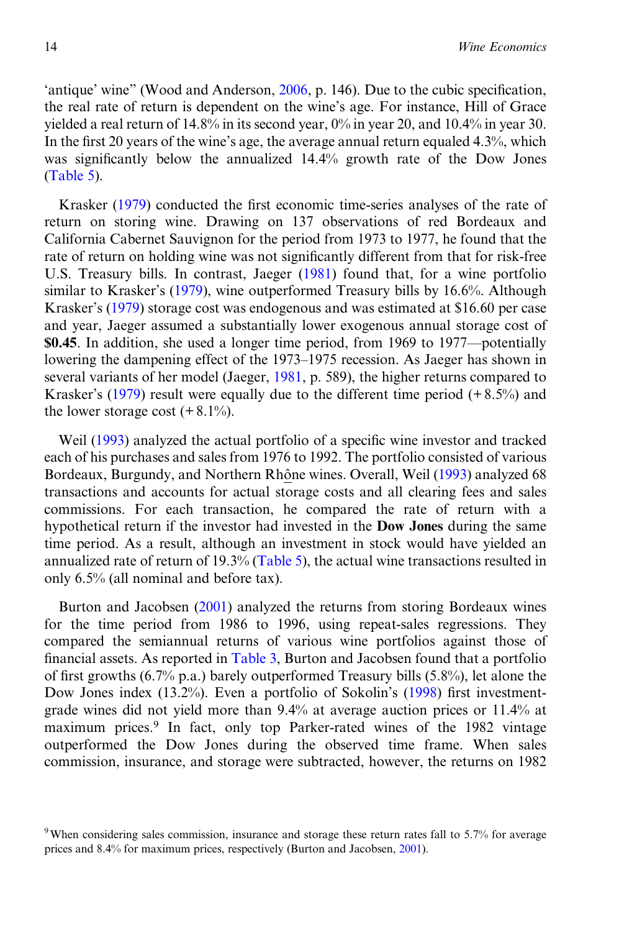'antique' wine" (Wood and Anderson, [2006](#page-32-0), p. 146). Due to the cubic specification, the real rate of return is dependent on the wine's age. For instance, Hill of Grace yielded a real return of 14.8% in its second year, 0% in year 20, and 10.4% in year 30. In the first 20 years of the wine's age, the average annual return equaled 4.3%, which was significantly below the annualized 14.4% growth rate of the Dow Jones [\(Table 5\)](#page-12-0).

Krasker ([1979\)](#page-30-0) conducted the first economic time-series analyses of the rate of return on storing wine. Drawing on 137 observations of red Bordeaux and California Cabernet Sauvignon for the period from 1973 to 1977, he found that the rate of return on holding wine was not significantly different from that for risk-free U.S. Treasury bills. In contrast, Jaeger [\(1981](#page-30-0)) found that, for a wine portfolio similar to Krasker's [\(1979](#page-30-0)), wine outperformed Treasury bills by 16.6%. Although Krasker's [\(1979](#page-30-0)) storage cost was endogenous and was estimated at \$16.60 per case and year, Jaeger assumed a substantially lower exogenous annual storage cost of \$0.45. In addition, she used a longer time period, from 1969 to 1977—potentially lowering the dampening effect of the 1973–1975 recession. As Jaeger has shown in several variants of her model (Jaeger, [1981,](#page-30-0) p. 589), the higher returns compared to Krasker's  $(1979)$  $(1979)$  $(1979)$  result were equally due to the different time period  $(+ 8.5%)$  and the lower storage cost  $(+ 8.1\%)$ .

Weil ([1993\)](#page-31-0) analyzed the actual portfolio of a specific wine investor and tracked each of his purchases and sales from 1976 to 1992. The portfolio consisted of various Bordeaux, Burgundy, and Northern Rhône wines. Overall, Weil [\(1993](#page-31-0)) analyzed 68 transactions and accounts for actual storage costs and all clearing fees and sales commissions. For each transaction, he compared the rate of return with a hypothetical return if the investor had invested in the Dow Jones during the same time period. As a result, although an investment in stock would have yielded an annualized rate of return of 19.3% [\(Table 5\)](#page-12-0), the actual wine transactions resulted in only 6.5% (all nominal and before tax).

Burton and Jacobsen ([2001\)](#page-29-0) analyzed the returns from storing Bordeaux wines for the time period from 1986 to 1996, using repeat-sales regressions. They compared the semiannual returns of various wine portfolios against those of financial assets. As reported in [Table 3,](#page-10-0) Burton and Jacobsen found that a portfolio of first growths  $(6.7\%$  p.a.) barely outperformed Treasury bills  $(5.8\%)$ , let alone the Dow Jones index (13.2%). Even a portfolio of Sokolin's ([1998\)](#page-31-0) first investmentgrade wines did not yield more than 9.4% at average auction prices or 11.4% at maximum prices.<sup>9</sup> In fact, only top Parker-rated wines of the 1982 vintage outperformed the Dow Jones during the observed time frame. When sales commission, insurance, and storage were subtracted, however, the returns on 1982

<sup>&</sup>lt;sup>9</sup>When considering sales commission, insurance and storage these return rates fall to 5.7% for average prices and 8.4% for maximum prices, respectively (Burton and Jacobsen, [2001](#page-29-0)).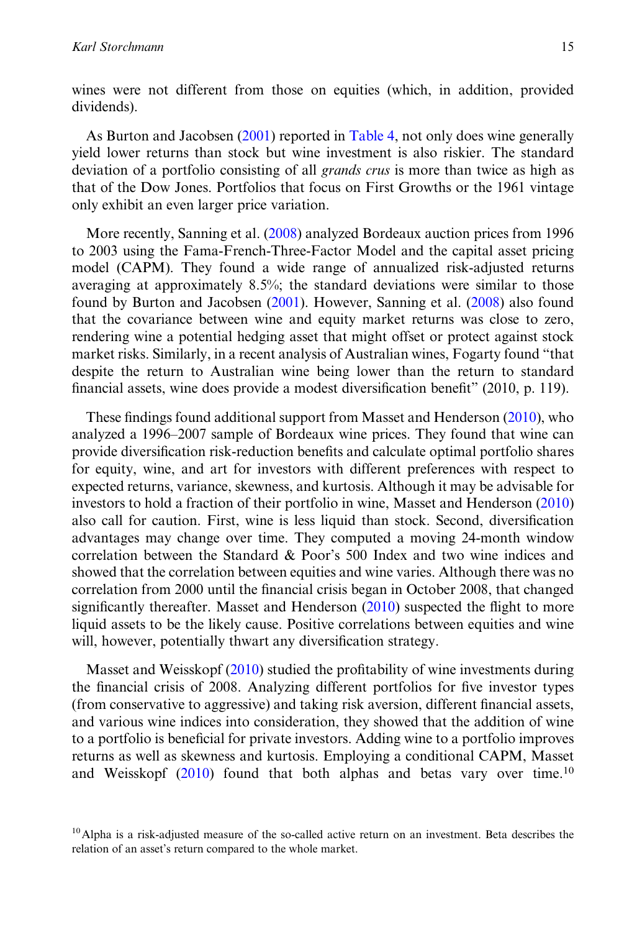wines were not different from those on equities (which, in addition, provided dividends).

As Burton and Jacobsen ([2001\)](#page-29-0) reported in [Table 4](#page-11-0), not only does wine generally yield lower returns than stock but wine investment is also riskier. The standard deviation of a portfolio consisting of all *grands crus* is more than twice as high as that of the Dow Jones. Portfolios that focus on First Growths or the 1961 vintage only exhibit an even larger price variation.

More recently, Sanning et al. [\(2008](#page-31-0)) analyzed Bordeaux auction prices from 1996 to 2003 using the Fama-French-Three-Factor Model and the capital asset pricing model (CAPM). They found a wide range of annualized risk-adjusted returns averaging at approximately 8.5%; the standard deviations were similar to those found by Burton and Jacobsen [\(2001](#page-29-0)). However, Sanning et al. [\(2008](#page-31-0)) also found that the covariance between wine and equity market returns was close to zero, rendering wine a potential hedging asset that might offset or protect against stock market risks. Similarly, in a recent analysis of Australian wines, Fogarty found "that despite the return to Australian wine being lower than the return to standard financial assets, wine does provide a modest diversification benefit" (2010, p. 119).

These findings found additional support from Masset and Henderson ([2010\)](#page-31-0), who analyzed a 1996–2007 sample of Bordeaux wine prices. They found that wine can provide diversification risk-reduction benefits and calculate optimal portfolio shares for equity, wine, and art for investors with different preferences with respect to expected returns, variance, skewness, and kurtosis. Although it may be advisable for investors to hold a fraction of their portfolio in wine, Masset and Henderson ([2010\)](#page-31-0) also call for caution. First, wine is less liquid than stock. Second, diversification advantages may change over time. They computed a moving 24-month window correlation between the Standard & Poor's 500 Index and two wine indices and showed that the correlation between equities and wine varies. Although there was no correlation from 2000 until the financial crisis began in October 2008, that changed significantly thereafter. Masset and Henderson [\(2010](#page-31-0)) suspected the flight to more liquid assets to be the likely cause. Positive correlations between equities and wine will, however, potentially thwart any diversification strategy.

Masset and Weisskopf [\(2010\)](#page-31-0) studied the profitability of wine investments during the financial crisis of 2008. Analyzing different portfolios for five investor types (from conservative to aggressive) and taking risk aversion, different financial assets, and various wine indices into consideration, they showed that the addition of wine to a portfolio is beneficial for private investors. Adding wine to a portfolio improves returns as well as skewness and kurtosis. Employing a conditional CAPM, Masset and Weisskopf ([2010\)](#page-31-0) found that both alphas and betas vary over time.<sup>10</sup>

<sup>&</sup>lt;sup>10</sup>Alpha is a risk-adjusted measure of the so-called active return on an investment. Beta describes the relation of an asset's return compared to the whole market.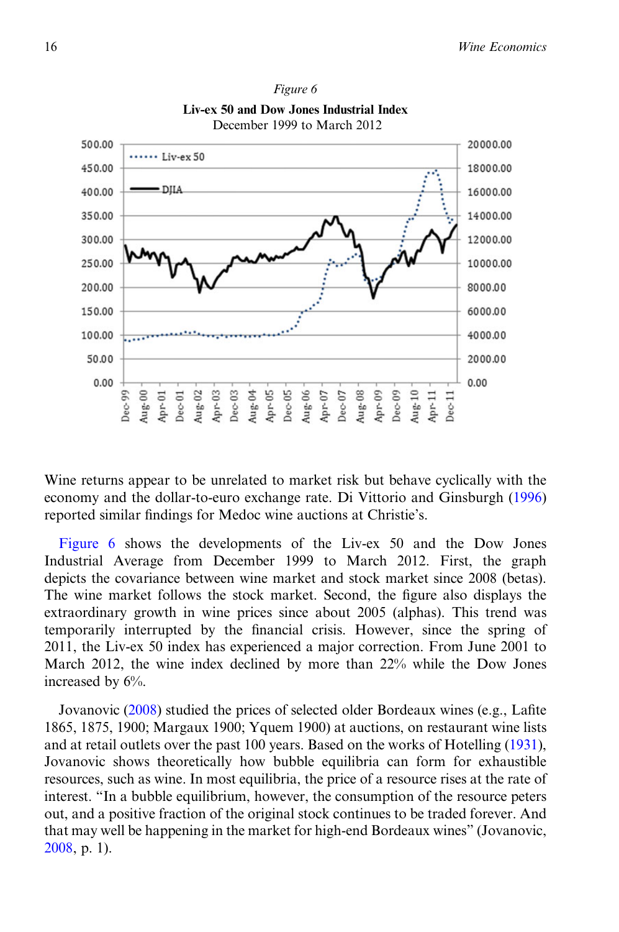

Figure 6 Liv-ex 50 and Dow Jones Industrial Index

Wine returns appear to be unrelated to market risk but behave cyclically with the economy and the dollar-to-euro exchange rate. Di Vittorio and Ginsburgh ([1996\)](#page-29-0) reported similar findings for Medoc wine auctions at Christie's.

Figure 6 shows the developments of the Liv-ex 50 and the Dow Jones Industrial Average from December 1999 to March 2012. First, the graph depicts the covariance between wine market and stock market since 2008 (betas). The wine market follows the stock market. Second, the figure also displays the extraordinary growth in wine prices since about 2005 (alphas). This trend was temporarily interrupted by the financial crisis. However, since the spring of 2011, the Liv-ex 50 index has experienced a major correction. From June 2001 to March 2012, the wine index declined by more than 22% while the Dow Jones increased by 6%.

Jovanovic [\(2008](#page-30-0)) studied the prices of selected older Bordeaux wines (e.g., Lafite 1865, 1875, 1900; Margaux 1900; Yquem 1900) at auctions, on restaurant wine lists and at retail outlets over the past 100 years. Based on the works of Hotelling ([1931\)](#page-30-0), Jovanovic shows theoretically how bubble equilibria can form for exhaustible resources, such as wine. In most equilibria, the price of a resource rises at the rate of interest. "In a bubble equilibrium, however, the consumption of the resource peters out, and a positive fraction of the original stock continues to be traded forever. And that may well be happening in the market for high-end Bordeaux wines" (Jovanovic, [2008,](#page-30-0) p. 1).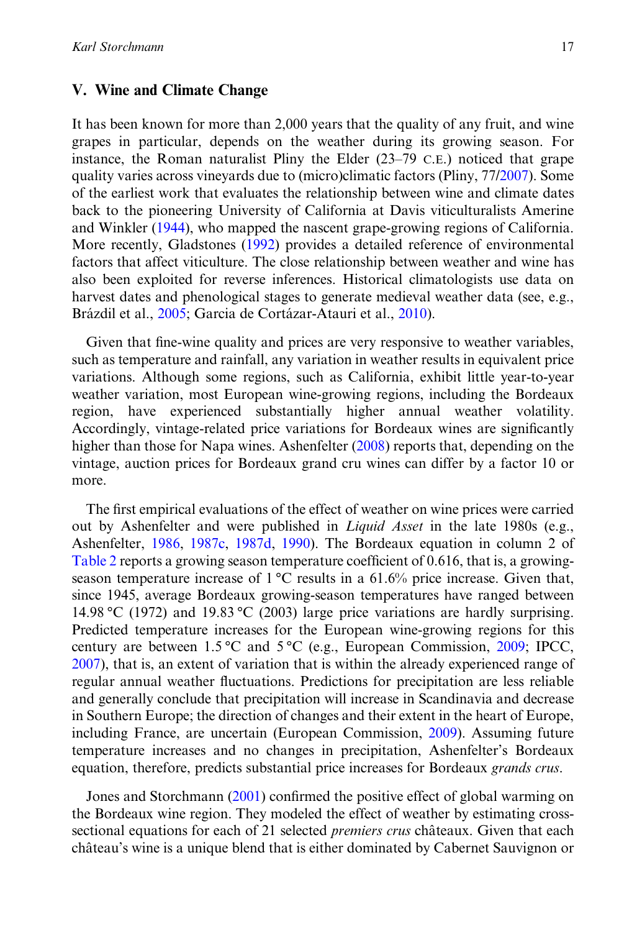#### V. Wine and Climate Change

It has been known for more than 2,000 years that the quality of any fruit, and wine grapes in particular, depends on the weather during its growing season. For instance, the Roman naturalist Pliny the Elder (23–79 C.E.) noticed that grape quality varies across vineyards due to (micro)climatic factors (Pliny, 77[/2007](#page-31-0)). Some of the earliest work that evaluates the relationship between wine and climate dates back to the pioneering University of California at Davis viticulturalists Amerine and Winkler ([1944\)](#page-28-0), who mapped the nascent grape-growing regions of California. More recently, Gladstones [\(1992\)](#page-29-0) provides a detailed reference of environmental factors that affect viticulture. The close relationship between weather and wine has also been exploited for reverse inferences. Historical climatologists use data on harvest dates and phenological stages to generate medieval weather data (see, e.g., Brázdil et al., [2005;](#page-29-0) Garcia de Cortázar-Atauri et al., [2010\)](#page-29-0).

Given that fine-wine quality and prices are very responsive to weather variables, such as temperature and rainfall, any variation in weather results in equivalent price variations. Although some regions, such as California, exhibit little year-to-year weather variation, most European wine-growing regions, including the Bordeaux region, have experienced substantially higher annual weather volatility. Accordingly, vintage-related price variations for Bordeaux wines are significantly higher than those for Napa wines. Ashenfelter [\(2008](#page-28-0)) reports that, depending on the vintage, auction prices for Bordeaux grand cru wines can differ by a factor 10 or more.

The first empirical evaluations of the effect of weather on wine prices were carried out by Ashenfelter and were published in Liquid Asset in the late 1980s (e.g., Ashenfelter, [1986](#page-28-0), [1987c,](#page-28-0) [1987d](#page-28-0), [1990](#page-28-0)). The Bordeaux equation in column 2 of [Table 2](#page-8-0) reports a growing season temperature coefficient of 0.616, that is, a growingseason temperature increase of  $1 \degree C$  results in a 61.6% price increase. Given that, since 1945, average Bordeaux growing-season temperatures have ranged between 14.98 °C (1972) and 19.83 °C (2003) large price variations are hardly surprising. Predicted temperature increases for the European wine-growing regions for this century are between  $1.5^{\circ}$ C and  $5^{\circ}$ C (e.g., European Commission, [2009](#page-29-0); IPCC, [2007](#page-30-0)), that is, an extent of variation that is within the already experienced range of regular annual weather fluctuations. Predictions for precipitation are less reliable and generally conclude that precipitation will increase in Scandinavia and decrease in Southern Europe; the direction of changes and their extent in the heart of Europe, including France, are uncertain (European Commission, [2009\)](#page-29-0). Assuming future temperature increases and no changes in precipitation, Ashenfelter's Bordeaux equation, therefore, predicts substantial price increases for Bordeaux grands crus.

Jones and Storchmann ([2001\)](#page-30-0) confirmed the positive effect of global warming on the Bordeaux wine region. They modeled the effect of weather by estimating crosssectional equations for each of 21 selected *premiers crus* châteaux. Given that each château's wine is a unique blend that is either dominated by Cabernet Sauvignon or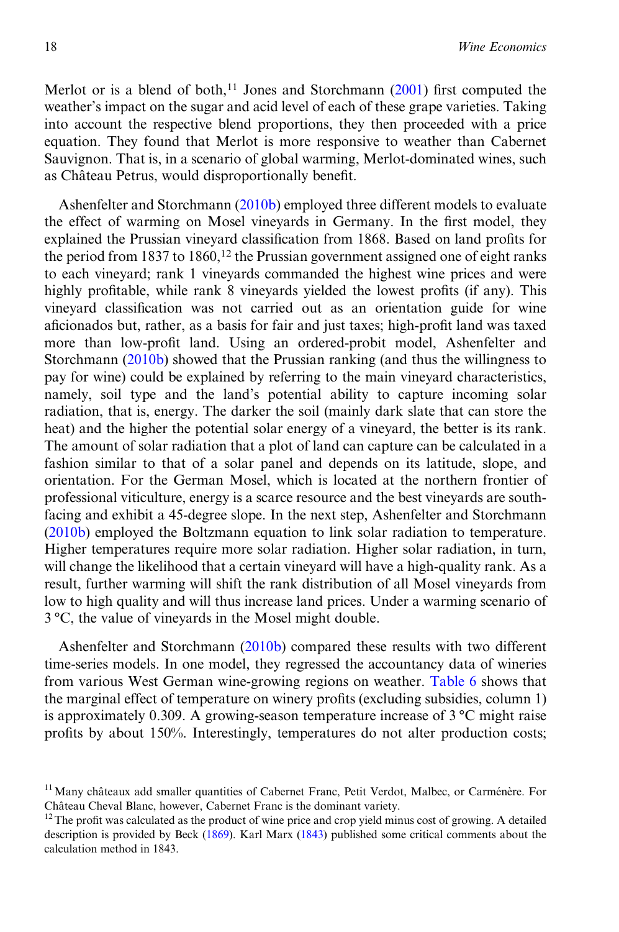Merlot or is a blend of both,<sup>11</sup> Jones and Storchmann  $(2001)$  $(2001)$  first computed the weather's impact on the sugar and acid level of each of these grape varieties. Taking into account the respective blend proportions, they then proceeded with a price equation. They found that Merlot is more responsive to weather than Cabernet Sauvignon. That is, in a scenario of global warming, Merlot-dominated wines, such as Château Petrus, would disproportionally benefit.

Ashenfelter and Storchmann ([2010b](#page-28-0)) employed three different models to evaluate the effect of warming on Mosel vineyards in Germany. In the first model, they explained the Prussian vineyard classification from 1868. Based on land profits for the period from 1837 to 1860,<sup>12</sup> the Prussian government assigned one of eight ranks to each vineyard; rank 1 vineyards commanded the highest wine prices and were highly profitable, while rank 8 vineyards yielded the lowest profits (if any). This vineyard classification was not carried out as an orientation guide for wine aficionados but, rather, as a basis for fair and just taxes; high-profit land was taxed more than low-profit land. Using an ordered-probit model, Ashenfelter and Storchmann ([2010b](#page-28-0)) showed that the Prussian ranking (and thus the willingness to pay for wine) could be explained by referring to the main vineyard characteristics, namely, soil type and the land's potential ability to capture incoming solar radiation, that is, energy. The darker the soil (mainly dark slate that can store the heat) and the higher the potential solar energy of a vineyard, the better is its rank. The amount of solar radiation that a plot of land can capture can be calculated in a fashion similar to that of a solar panel and depends on its latitude, slope, and orientation. For the German Mosel, which is located at the northern frontier of professional viticulture, energy is a scarce resource and the best vineyards are southfacing and exhibit a 45-degree slope. In the next step, Ashenfelter and Storchmann [\(2010b\)](#page-28-0) employed the Boltzmann equation to link solar radiation to temperature. Higher temperatures require more solar radiation. Higher solar radiation, in turn, will change the likelihood that a certain vineyard will have a high-quality rank. As a result, further warming will shift the rank distribution of all Mosel vineyards from low to high quality and will thus increase land prices. Under a warming scenario of 3 °C, the value of vineyards in the Mosel might double.

Ashenfelter and Storchmann ([2010b](#page-28-0)) compared these results with two different time-series models. In one model, they regressed the accountancy data of wineries from various West German wine-growing regions on weather. [Table 6](#page-18-0) shows that the marginal effect of temperature on winery profits (excluding subsidies, column 1) is approximately 0.309. A growing-season temperature increase of  $3^{\circ}$ C might raise profits by about 150%. Interestingly, temperatures do not alter production costs;

<sup>&</sup>lt;sup>11</sup> Many châteaux add smaller quantities of Cabernet Franc, Petit Verdot, Malbec, or Carménère. For Château Cheval Blanc, however, Cabernet Franc is the dominant variety.

 $12$ The profit was calculated as the product of wine price and crop yield minus cost of growing. A detailed description is provided by Beck ([1869\)](#page-29-0). Karl Marx [\(1843](#page-30-0)) published some critical comments about the calculation method in 1843.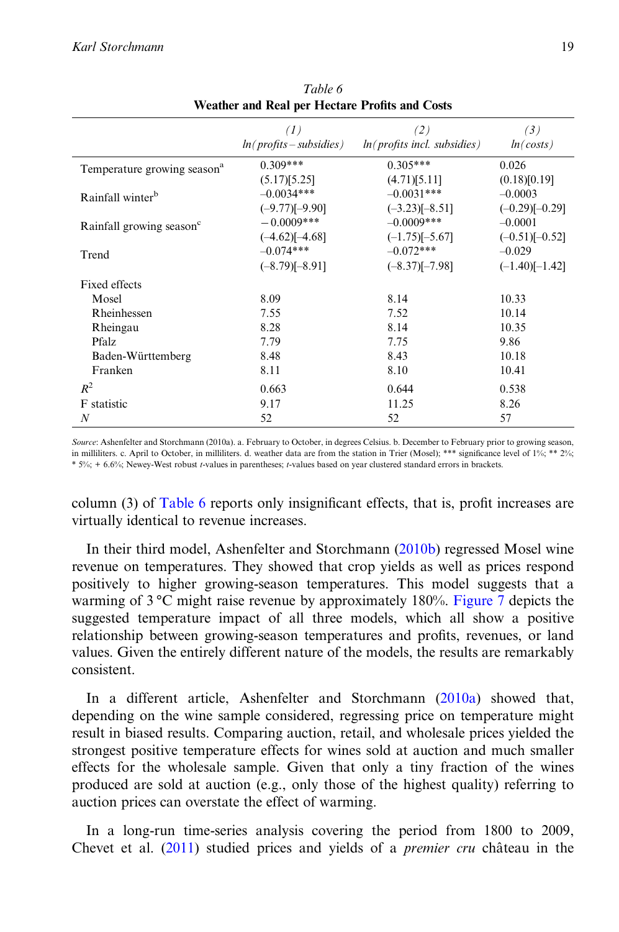<span id="page-18-0"></span>

|                                         | (1)<br>$ln(p \cdot r \cdot f \cdot t \cdot s \cdot t \cdot h \cdot s)$ | (2)<br>$ln(profits incl.$ subsidies) | (3)<br>ln(costs)  |
|-----------------------------------------|------------------------------------------------------------------------|--------------------------------------|-------------------|
|                                         |                                                                        |                                      |                   |
| Temperature growing season <sup>a</sup> | $0.309***$                                                             | $0.305***$                           | 0.026             |
|                                         | (5.17)[5.25]                                                           | (4.71)[5.11]                         | (0.18)[0.19]      |
| Rainfall winter <sup>b</sup>            | $-0.0034***$                                                           | $-0.0031***$                         | $-0.0003$         |
|                                         | $(-9.77)$ [-9.90]                                                      | $(-3.23)$ [-8.51]                    | $(-0.29)$ [-0.29] |
| Rainfall growing season <sup>c</sup>    | $-0.0009***$                                                           | $-0.0009***$                         | $-0.0001$         |
|                                         | $(-4.62)$ [-4.68]                                                      | $(-1.75)$ [-5.67]                    | $(-0.51)$ [-0.52] |
| Trend                                   | $-0.074***$                                                            | $-0.072***$                          | $-0.029$          |
|                                         | $(-8.79)$ [-8.91]                                                      | $(-8.37)$ [-7.98]                    | $(-1.40)$ [-1.42] |
| Fixed effects                           |                                                                        |                                      |                   |
| Mosel                                   | 8.09                                                                   | 8.14                                 | 10.33             |
| Rheinhessen                             | 7.55                                                                   | 7.52                                 | 10.14             |
| Rheingau                                | 8.28                                                                   | 8.14                                 | 10.35             |
| Pfalz                                   | 7.79                                                                   | 7.75                                 | 9.86              |
| Baden-Württemberg                       | 8.48                                                                   | 8.43                                 | 10.18             |
| Franken                                 | 8.11                                                                   | 8.10                                 | 10.41             |
| $R^2$                                   | 0.663                                                                  | 0.644                                | 0.538             |
| F statistic                             | 9.17                                                                   | 11.25                                | 8.26              |
| N                                       | 52                                                                     | 52                                   | 57                |

| Table 6                                        |  |
|------------------------------------------------|--|
| Weather and Real per Hectare Profits and Costs |  |

Source: Ashenfelter and Storchmann (2010a). a. February to October, in degrees Celsius. b. December to February prior to growing season, in milliliters. c. April to October, in milliliters. d. weather data are from the station in Trier (Mosel); \*\*\* significance level of 1%; \*\* 2%; \* 5%; + 6.6%; Newey-West robust t-values in parentheses; t-values based on year clustered standard errors in brackets.

column (3) of Table 6 reports only insignificant effects, that is, profit increases are virtually identical to revenue increases.

In their third model, Ashenfelter and Storchmann [\(2010b\)](#page-28-0) regressed Mosel wine revenue on temperatures. They showed that crop yields as well as prices respond positively to higher growing-season temperatures. This model suggests that a warming of  $3^{\circ}$ C might raise revenue by approximately 180%. [Figure 7](#page-19-0) depicts the suggested temperature impact of all three models, which all show a positive relationship between growing-season temperatures and profits, revenues, or land values. Given the entirely different nature of the models, the results are remarkably consistent.

In a different article, Ashenfelter and Storchmann ([2010a\)](#page-28-0) showed that, depending on the wine sample considered, regressing price on temperature might result in biased results. Comparing auction, retail, and wholesale prices yielded the strongest positive temperature effects for wines sold at auction and much smaller effects for the wholesale sample. Given that only a tiny fraction of the wines produced are sold at auction (e.g., only those of the highest quality) referring to auction prices can overstate the effect of warming.

In a long-run time-series analysis covering the period from 1800 to 2009, Chevet et al. ([2011\)](#page-29-0) studied prices and yields of a premier cru château in the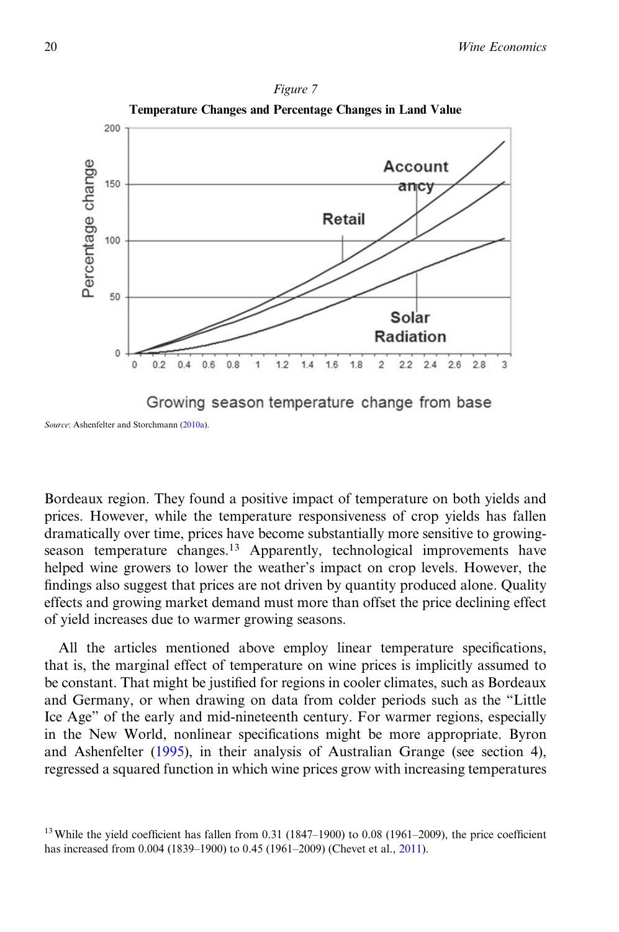<span id="page-19-0"></span>

Growing season temperature change from base Source: Ashenfelter and Storchmann [\(2010a](#page-28-0)).

Bordeaux region. They found a positive impact of temperature on both yields and prices. However, while the temperature responsiveness of crop yields has fallen dramatically over time, prices have become substantially more sensitive to growingseason temperature changes.<sup>13</sup> Apparently, technological improvements have helped wine growers to lower the weather's impact on crop levels. However, the findings also suggest that prices are not driven by quantity produced alone. Quality effects and growing market demand must more than offset the price declining effect of yield increases due to warmer growing seasons.

All the articles mentioned above employ linear temperature specifications, that is, the marginal effect of temperature on wine prices is implicitly assumed to be constant. That might be justified for regions in cooler climates, such as Bordeaux and Germany, or when drawing on data from colder periods such as the "Little Ice Age" of the early and mid-nineteenth century. For warmer regions, especially in the New World, nonlinear specifications might be more appropriate. Byron and Ashenfelter [\(1995](#page-29-0)), in their analysis of Australian Grange (see section 4), regressed a squared function in which wine prices grow with increasing temperatures

<sup>&</sup>lt;sup>13</sup> While the yield coefficient has fallen from  $0.31$  (1847–1900) to  $0.08$  (1961–2009), the price coefficient has increased from 0.004 (1839–1900) to 0.45 (1961–2009) (Chevet et al., [2011](#page-29-0)).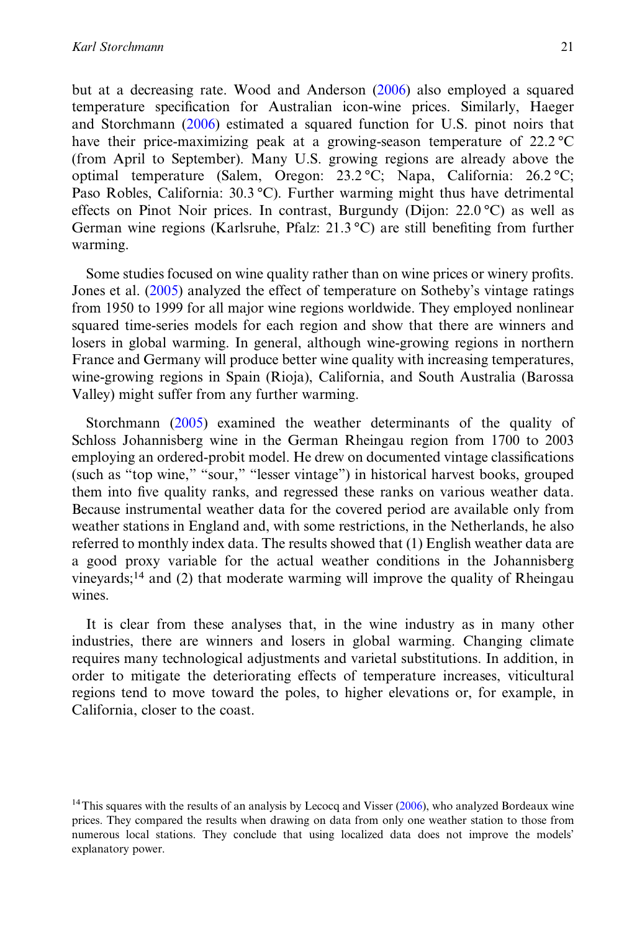but at a decreasing rate. Wood and Anderson ([2006\)](#page-32-0) also employed a squared temperature specification for Australian icon-wine prices. Similarly, Haeger and Storchmann ([2006](#page-30-0)) estimated a squared function for U.S. pinot noirs that have their price-maximizing peak at a growing-season temperature of  $22.2 \text{°C}$ (from April to September). Many U.S. growing regions are already above the optimal temperature (Salem, Oregon: 23.2 °C; Napa, California: 26.2 °C; Paso Robles, California: 30.3 °C). Further warming might thus have detrimental effects on Pinot Noir prices. In contrast, Burgundy (Dijon:  $22.0 \degree C$ ) as well as German wine regions (Karlsruhe, Pfalz: 21.3 °C) are still benefiting from further warming.

Some studies focused on wine quality rather than on wine prices or winery profits. Jones et al. [\(2005](#page-30-0)) analyzed the effect of temperature on Sotheby's vintage ratings from 1950 to 1999 for all major wine regions worldwide. They employed nonlinear squared time-series models for each region and show that there are winners and losers in global warming. In general, although wine-growing regions in northern France and Germany will produce better wine quality with increasing temperatures, wine-growing regions in Spain (Rioja), California, and South Australia (Barossa Valley) might suffer from any further warming.

Storchmann ([2005\)](#page-31-0) examined the weather determinants of the quality of Schloss Johannisberg wine in the German Rheingau region from 1700 to 2003 employing an ordered-probit model. He drew on documented vintage classifications (such as "top wine," "sour," "lesser vintage") in historical harvest books, grouped them into five quality ranks, and regressed these ranks on various weather data. Because instrumental weather data for the covered period are available only from weather stations in England and, with some restrictions, in the Netherlands, he also referred to monthly index data. The results showed that (1) English weather data are a good proxy variable for the actual weather conditions in the Johannisberg vineyards;<sup>14</sup> and (2) that moderate warming will improve the quality of Rheingau wines.

It is clear from these analyses that, in the wine industry as in many other industries, there are winners and losers in global warming. Changing climate requires many technological adjustments and varietal substitutions. In addition, in order to mitigate the deteriorating effects of temperature increases, viticultural regions tend to move toward the poles, to higher elevations or, for example, in California, closer to the coast.

 $14$ This squares with the results of an analysis by Lecocq and Visser [\(2006](#page-30-0)), who analyzed Bordeaux wine prices. They compared the results when drawing on data from only one weather station to those from numerous local stations. They conclude that using localized data does not improve the models' explanatory power.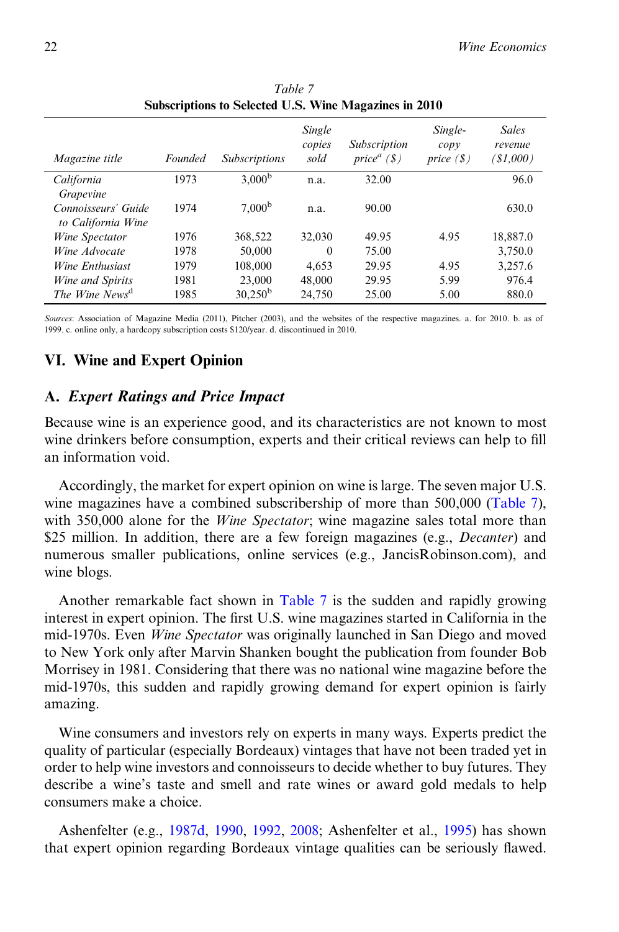| Subscriptions to Selected U.S. Wine Magazines in 2010  |         |                      |                          |                                           |                                 |                                     |
|--------------------------------------------------------|---------|----------------------|--------------------------|-------------------------------------------|---------------------------------|-------------------------------------|
| Magazine title                                         | Founded | <b>Subscriptions</b> | Single<br>copies<br>sold | Subscription<br>price <sup>a</sup> $(\$)$ | Single-<br>copy<br>price $(\$)$ | <b>Sales</b><br>revenue<br>(81,000) |
| California                                             | 1973    | $3,000^{\rm b}$      | n.a.                     | 32.00                                     |                                 | 96.0                                |
| Grapevine<br>Connoisseurs' Guide<br>to California Wine | 1974    | 7.000 <sup>b</sup>   | n.a.                     | 90.00                                     |                                 | 630.0                               |
| Wine Spectator                                         | 1976    | 368.522              | 32.030                   | 49.95                                     | 4.95                            | 18,887.0                            |
| Wine Advocate                                          | 1978    | 50,000               | $\theta$                 | 75.00                                     |                                 | 3,750.0                             |
| Wine Enthusiast                                        | 1979    | 108,000              | 4.653                    | 29.95                                     | 4.95                            | 3.257.6                             |
| Wine and Spirits                                       | 1981    | 23,000               | 48,000                   | 29.95                                     | 5.99                            | 976.4                               |
| The Wine News <sup>d</sup>                             | 1985    | $30,250^{\rm b}$     | 24,750                   | 25.00                                     | 5.00                            | 880.0                               |

Table 7

Sources: Association of Magazine Media (2011), Pitcher (2003), and the websites of the respective magazines. a. for 2010. b. as of 1999. c. online only, a hardcopy subscription costs \$120/year. d. discontinued in 2010.

## VI. Wine and Expert Opinion

# A. Expert Ratings and Price Impact

Because wine is an experience good, and its characteristics are not known to most wine drinkers before consumption, experts and their critical reviews can help to fill an information void.

Accordingly, the market for expert opinion on wine is large. The seven major U.S. wine magazines have a combined subscribership of more than 500,000 (Table 7), with 350,000 alone for the *Wine Spectator*; wine magazine sales total more than \$25 million. In addition, there are a few foreign magazines (e.g., *Decanter*) and numerous smaller publications, online services (e.g., JancisRobinson.com), and wine blogs.

Another remarkable fact shown in Table 7 is the sudden and rapidly growing interest in expert opinion. The first U.S. wine magazines started in California in the mid-1970s. Even Wine Spectator was originally launched in San Diego and moved to New York only after Marvin Shanken bought the publication from founder Bob Morrisey in 1981. Considering that there was no national wine magazine before the mid-1970s, this sudden and rapidly growing demand for expert opinion is fairly amazing.

Wine consumers and investors rely on experts in many ways. Experts predict the quality of particular (especially Bordeaux) vintages that have not been traded yet in order to help wine investors and connoisseurs to decide whether to buy futures. They describe a wine's taste and smell and rate wines or award gold medals to help consumers make a choice.

Ashenfelter (e.g., [1987d,](#page-28-0) [1990](#page-28-0), [1992,](#page-28-0) [2008](#page-28-0); Ashenfelter et al., [1995\)](#page-28-0) has shown that expert opinion regarding Bordeaux vintage qualities can be seriously flawed.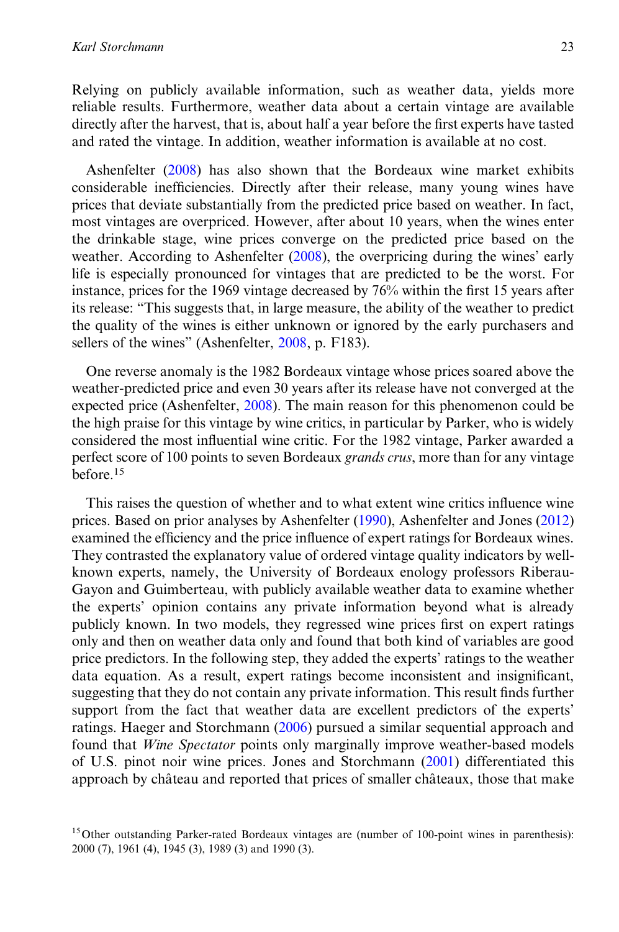Relying on publicly available information, such as weather data, yields more reliable results. Furthermore, weather data about a certain vintage are available directly after the harvest, that is, about half a year before the first experts have tasted and rated the vintage. In addition, weather information is available at no cost.

Ashenfelter [\(2008](#page-28-0)) has also shown that the Bordeaux wine market exhibits considerable inefficiencies. Directly after their release, many young wines have prices that deviate substantially from the predicted price based on weather. In fact, most vintages are overpriced. However, after about 10 years, when the wines enter the drinkable stage, wine prices converge on the predicted price based on the weather. According to Ashenfelter [\(2008](#page-28-0)), the overpricing during the wines' early life is especially pronounced for vintages that are predicted to be the worst. For instance, prices for the 1969 vintage decreased by 76% within the first 15 years after its release: "This suggests that, in large measure, the ability of the weather to predict the quality of the wines is either unknown or ignored by the early purchasers and sellers of the wines" (Ashenfelter, [2008,](#page-28-0) p. F183).

One reverse anomaly is the 1982 Bordeaux vintage whose prices soared above the weather-predicted price and even 30 years after its release have not converged at the expected price (Ashenfelter, [2008](#page-28-0)). The main reason for this phenomenon could be the high praise for this vintage by wine critics, in particular by Parker, who is widely considered the most influential wine critic. For the 1982 vintage, Parker awarded a perfect score of 100 points to seven Bordeaux *grands crus*, more than for any vintage before.15

This raises the question of whether and to what extent wine critics influence wine prices. Based on prior analyses by Ashenfelter ([1990\)](#page-28-0), Ashenfelter and Jones ([2012\)](#page-28-0) examined the efficiency and the price influence of expert ratings for Bordeaux wines. They contrasted the explanatory value of ordered vintage quality indicators by wellknown experts, namely, the University of Bordeaux enology professors Riberau-Gayon and Guimberteau, with publicly available weather data to examine whether the experts' opinion contains any private information beyond what is already publicly known. In two models, they regressed wine prices first on expert ratings only and then on weather data only and found that both kind of variables are good price predictors. In the following step, they added the experts' ratings to the weather data equation. As a result, expert ratings become inconsistent and insignificant, suggesting that they do not contain any private information. This result finds further support from the fact that weather data are excellent predictors of the experts' ratings. Haeger and Storchmann [\(2006](#page-30-0)) pursued a similar sequential approach and found that *Wine Spectator* points only marginally improve weather-based models of U.S. pinot noir wine prices. Jones and Storchmann ([2001\)](#page-30-0) differentiated this approach by château and reported that prices of smaller châteaux, those that make

<sup>&</sup>lt;sup>15</sup>Other outstanding Parker-rated Bordeaux vintages are (number of 100-point wines in parenthesis): 2000 (7), 1961 (4), 1945 (3), 1989 (3) and 1990 (3).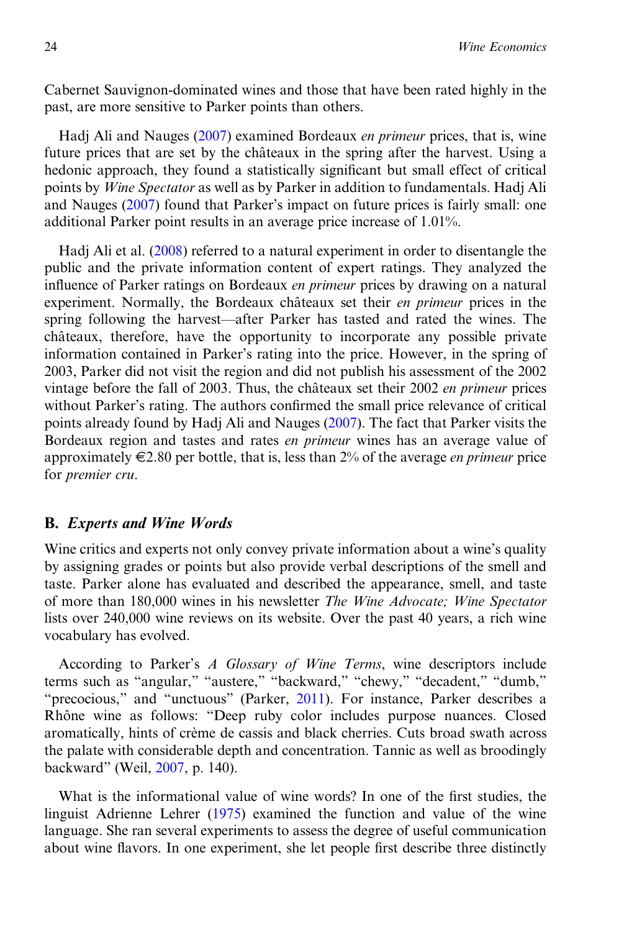Cabernet Sauvignon-dominated wines and those that have been rated highly in the past, are more sensitive to Parker points than others.

Hadj Ali and Nauges [\(2007](#page-30-0)) examined Bordeaux en primeur prices, that is, wine future prices that are set by the châteaux in the spring after the harvest. Using a hedonic approach, they found a statistically significant but small effect of critical points by Wine Spectator as well as by Parker in addition to fundamentals. Hadj Ali and Nauges [\(2007](#page-30-0)) found that Parker's impact on future prices is fairly small: one additional Parker point results in an average price increase of 1.01%.

Hadj Ali et al. [\(2008](#page-30-0)) referred to a natural experiment in order to disentangle the public and the private information content of expert ratings. They analyzed the influence of Parker ratings on Bordeaux en primeur prices by drawing on a natural experiment. Normally, the Bordeaux châteaux set their en primeur prices in the spring following the harvest—after Parker has tasted and rated the wines. The châteaux, therefore, have the opportunity to incorporate any possible private information contained in Parker's rating into the price. However, in the spring of 2003, Parker did not visit the region and did not publish his assessment of the 2002 vintage before the fall of 2003. Thus, the châteaux set their 2002 en primeur prices without Parker's rating. The authors confirmed the small price relevance of critical points already found by Hadj Ali and Nauges ([2007\)](#page-30-0). The fact that Parker visits the Bordeaux region and tastes and rates *en primeur* wines has an average value of approximately  $\epsilon$ 2.80 per bottle, that is, less than 2% of the average *en primeur* price for premier cru.

#### B. Experts and Wine Words

Wine critics and experts not only convey private information about a wine's quality by assigning grades or points but also provide verbal descriptions of the smell and taste. Parker alone has evaluated and described the appearance, smell, and taste of more than 180,000 wines in his newsletter The Wine Advocate; Wine Spectator lists over 240,000 wine reviews on its website. Over the past 40 years, a rich wine vocabulary has evolved.

According to Parker's A Glossary of Wine Terms, wine descriptors include terms such as "angular," "austere," "backward," "chewy," "decadent," "dumb," "precocious," and "unctuous" (Parker, [2011\)](#page-31-0). For instance, Parker describes a Rhône wine as follows: "Deep ruby color includes purpose nuances. Closed aromatically, hints of crème de cassis and black cherries. Cuts broad swath across the palate with considerable depth and concentration. Tannic as well as broodingly backward" (Weil, [2007](#page-32-0), p. 140).

What is the informational value of wine words? In one of the first studies, the linguist Adrienne Lehrer ([1975\)](#page-30-0) examined the function and value of the wine language. She ran several experiments to assess the degree of useful communication about wine flavors. In one experiment, she let people first describe three distinctly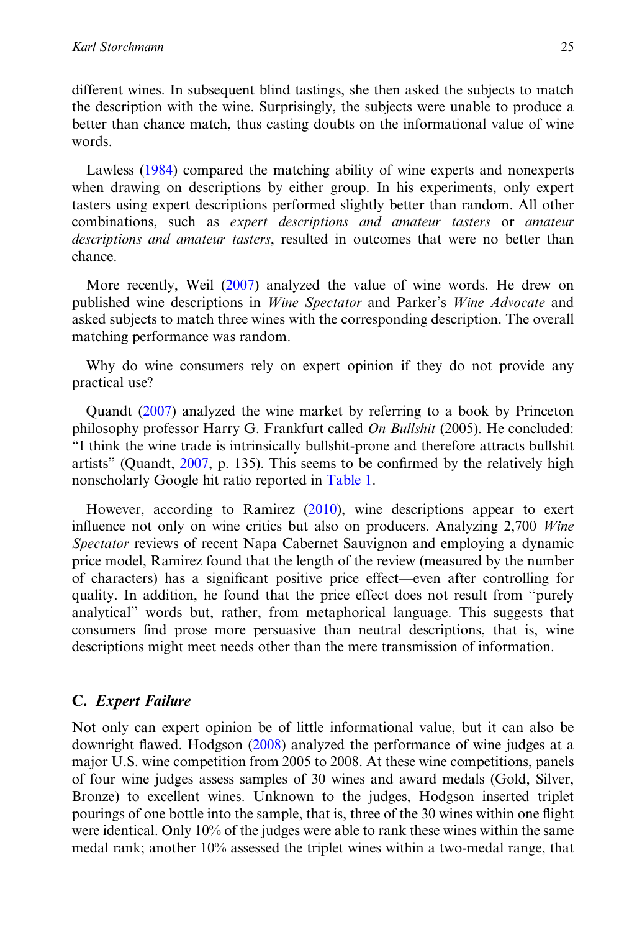different wines. In subsequent blind tastings, she then asked the subjects to match the description with the wine. Surprisingly, the subjects were unable to produce a better than chance match, thus casting doubts on the informational value of wine words.

Lawless ([1984\)](#page-30-0) compared the matching ability of wine experts and nonexperts when drawing on descriptions by either group. In his experiments, only expert tasters using expert descriptions performed slightly better than random. All other combinations, such as expert descriptions and amateur tasters or amateur descriptions and amateur tasters, resulted in outcomes that were no better than chance.

More recently, Weil [\(2007](#page-32-0)) analyzed the value of wine words. He drew on published wine descriptions in Wine Spectator and Parker's Wine Advocate and asked subjects to match three wines with the corresponding description. The overall matching performance was random.

Why do wine consumers rely on expert opinion if they do not provide any practical use?

Quandt ([2007\)](#page-31-0) analyzed the wine market by referring to a book by Princeton philosophy professor Harry G. Frankfurt called On Bullshit (2005). He concluded: "I think the wine trade is intrinsically bullshit-prone and therefore attracts bullshit artists" (Quandt, [2007](#page-31-0), p. 135). This seems to be confirmed by the relatively high nonscholarly Google hit ratio reported in [Table 1](#page-4-0).

However, according to Ramirez ([2010\)](#page-31-0), wine descriptions appear to exert influence not only on wine critics but also on producers. Analyzing 2,700 Wine Spectator reviews of recent Napa Cabernet Sauvignon and employing a dynamic price model, Ramirez found that the length of the review (measured by the number of characters) has a significant positive price effect—even after controlling for quality. In addition, he found that the price effect does not result from "purely analytical" words but, rather, from metaphorical language. This suggests that consumers find prose more persuasive than neutral descriptions, that is, wine descriptions might meet needs other than the mere transmission of information.

# C. Expert Failure

Not only can expert opinion be of little informational value, but it can also be downright flawed. Hodgson [\(2008](#page-30-0)) analyzed the performance of wine judges at a major U.S. wine competition from 2005 to 2008. At these wine competitions, panels of four wine judges assess samples of 30 wines and award medals (Gold, Silver, Bronze) to excellent wines. Unknown to the judges, Hodgson inserted triplet pourings of one bottle into the sample, that is, three of the 30 wines within one flight were identical. Only 10% of the judges were able to rank these wines within the same medal rank; another 10% assessed the triplet wines within a two-medal range, that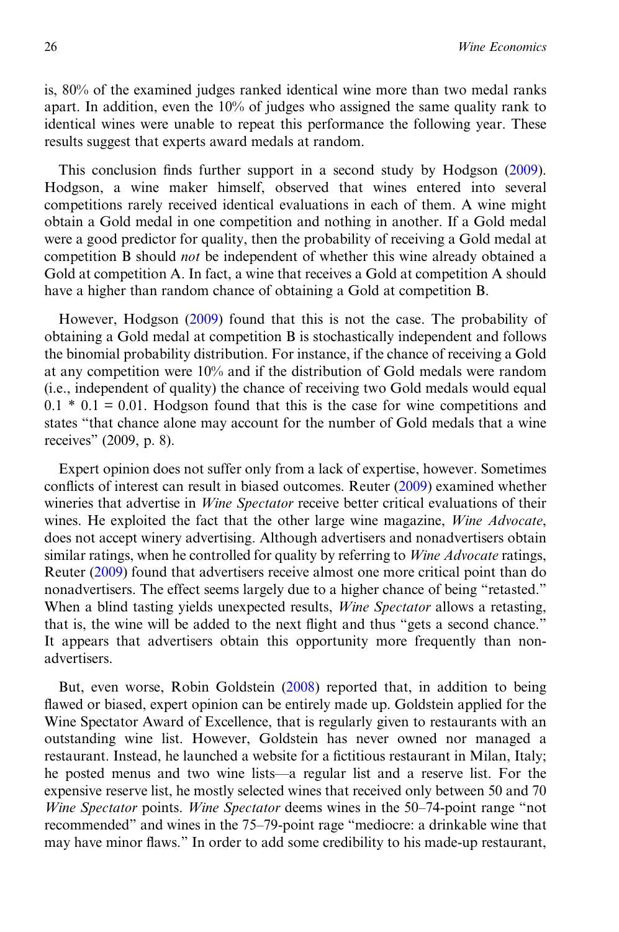is, 80% of the examined judges ranked identical wine more than two medal ranks apart. In addition, even the 10% of judges who assigned the same quality rank to identical wines were unable to repeat this performance the following year. These results suggest that experts award medals at random.

This conclusion finds further support in a second study by Hodgson ([2009\)](#page-30-0). Hodgson, a wine maker himself, observed that wines entered into several competitions rarely received identical evaluations in each of them. A wine might obtain a Gold medal in one competition and nothing in another. If a Gold medal were a good predictor for quality, then the probability of receiving a Gold medal at competition B should not be independent of whether this wine already obtained a Gold at competition A. In fact, a wine that receives a Gold at competition A should have a higher than random chance of obtaining a Gold at competition B.

However, Hodgson [\(2009](#page-30-0)) found that this is not the case. The probability of obtaining a Gold medal at competition B is stochastically independent and follows the binomial probability distribution. For instance, if the chance of receiving a Gold at any competition were 10% and if the distribution of Gold medals were random (i.e., independent of quality) the chance of receiving two Gold medals would equal  $0.1 * 0.1 = 0.01$ . Hodgson found that this is the case for wine competitions and states "that chance alone may account for the number of Gold medals that a wine receives" (2009, p. 8).

Expert opinion does not suffer only from a lack of expertise, however. Sometimes conflicts of interest can result in biased outcomes. Reuter ([2009\)](#page-31-0) examined whether wineries that advertise in *Wine Spectator* receive better critical evaluations of their wines. He exploited the fact that the other large wine magazine, *Wine Advocate*, does not accept winery advertising. Although advertisers and nonadvertisers obtain similar ratings, when he controlled for quality by referring to *Wine Advocate* ratings, Reuter ([2009\)](#page-31-0) found that advertisers receive almost one more critical point than do nonadvertisers. The effect seems largely due to a higher chance of being "retasted." When a blind tasting yields unexpected results, *Wine Spectator* allows a retasting, that is, the wine will be added to the next flight and thus "gets a second chance." It appears that advertisers obtain this opportunity more frequently than nonadvertisers.

But, even worse, Robin Goldstein [\(2008\)](#page-30-0) reported that, in addition to being flawed or biased, expert opinion can be entirely made up. Goldstein applied for the Wine Spectator Award of Excellence, that is regularly given to restaurants with an outstanding wine list. However, Goldstein has never owned nor managed a restaurant. Instead, he launched a website for a fictitious restaurant in Milan, Italy; he posted menus and two wine lists—a regular list and a reserve list. For the expensive reserve list, he mostly selected wines that received only between 50 and 70 Wine Spectator points. Wine Spectator deems wines in the 50–74-point range "not recommended" and wines in the 75–79-point rage "mediocre: a drinkable wine that may have minor flaws." In order to add some credibility to his made-up restaurant,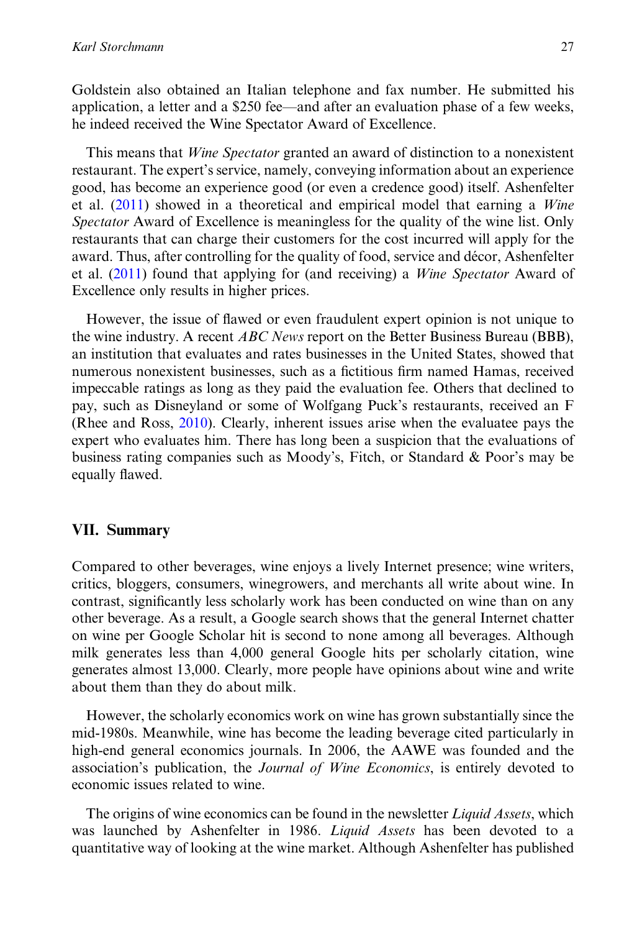Goldstein also obtained an Italian telephone and fax number. He submitted his application, a letter and a \$250 fee—and after an evaluation phase of a few weeks, he indeed received the Wine Spectator Award of Excellence.

This means that *Wine Spectator* granted an award of distinction to a nonexistent restaurant. The expert's service, namely, conveying information about an experience good, has become an experience good (or even a credence good) itself. Ashenfelter et al. [\(2011\)](#page-29-0) showed in a theoretical and empirical model that earning a Wine Spectator Award of Excellence is meaningless for the quality of the wine list. Only restaurants that can charge their customers for the cost incurred will apply for the award. Thus, after controlling for the quality of food, service and décor, Ashenfelter et al.  $(2011)$  $(2011)$  found that applying for (and receiving) a *Wine Spectator* Award of Excellence only results in higher prices.

However, the issue of flawed or even fraudulent expert opinion is not unique to the wine industry. A recent *ABC News* report on the Better Business Bureau (BBB), an institution that evaluates and rates businesses in the United States, showed that numerous nonexistent businesses, such as a fictitious firm named Hamas, received impeccable ratings as long as they paid the evaluation fee. Others that declined to pay, such as Disneyland or some of Wolfgang Puck's restaurants, received an F (Rhee and Ross, [2010\)](#page-31-0). Clearly, inherent issues arise when the evaluatee pays the expert who evaluates him. There has long been a suspicion that the evaluations of business rating companies such as Moody's, Fitch, or Standard & Poor's may be equally flawed.

### VII. Summary

Compared to other beverages, wine enjoys a lively Internet presence; wine writers, critics, bloggers, consumers, winegrowers, and merchants all write about wine. In contrast, significantly less scholarly work has been conducted on wine than on any other beverage. As a result, a Google search shows that the general Internet chatter on wine per Google Scholar hit is second to none among all beverages. Although milk generates less than 4,000 general Google hits per scholarly citation, wine generates almost 13,000. Clearly, more people have opinions about wine and write about them than they do about milk.

However, the scholarly economics work on wine has grown substantially since the mid-1980s. Meanwhile, wine has become the leading beverage cited particularly in high-end general economics journals. In 2006, the AAWE was founded and the association's publication, the Journal of Wine Economics, is entirely devoted to economic issues related to wine.

The origins of wine economics can be found in the newsletter Liquid Assets, which was launched by Ashenfelter in 1986. Liquid Assets has been devoted to a quantitative way of looking at the wine market. Although Ashenfelter has published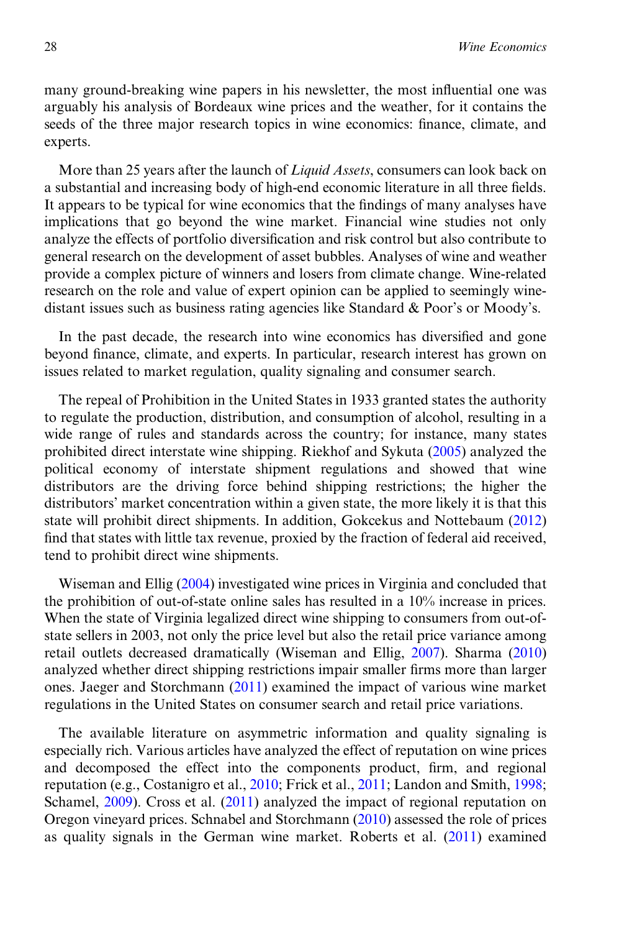many ground-breaking wine papers in his newsletter, the most influential one was arguably his analysis of Bordeaux wine prices and the weather, for it contains the seeds of the three major research topics in wine economics: finance, climate, and experts.

More than 25 years after the launch of *Liquid Assets*, consumers can look back on a substantial and increasing body of high-end economic literature in all three fields. It appears to be typical for wine economics that the findings of many analyses have implications that go beyond the wine market. Financial wine studies not only analyze the effects of portfolio diversification and risk control but also contribute to general research on the development of asset bubbles. Analyses of wine and weather provide a complex picture of winners and losers from climate change. Wine-related research on the role and value of expert opinion can be applied to seemingly winedistant issues such as business rating agencies like Standard & Poor's or Moody's.

In the past decade, the research into wine economics has diversified and gone beyond finance, climate, and experts. In particular, research interest has grown on issues related to market regulation, quality signaling and consumer search.

The repeal of Prohibition in the United States in 1933 granted states the authority to regulate the production, distribution, and consumption of alcohol, resulting in a wide range of rules and standards across the country; for instance, many states prohibited direct interstate wine shipping. Riekhof and Sykuta [\(2005\)](#page-31-0) analyzed the political economy of interstate shipment regulations and showed that wine distributors are the driving force behind shipping restrictions; the higher the distributors' market concentration within a given state, the more likely it is that this state will prohibit direct shipments. In addition, Gokcekus and Nottebaum ([2012\)](#page-29-0) find that states with little tax revenue, proxied by the fraction of federal aid received, tend to prohibit direct wine shipments.

Wiseman and Ellig [\(2004](#page-32-0)) investigated wine prices in Virginia and concluded that the prohibition of out-of-state online sales has resulted in a 10% increase in prices. When the state of Virginia legalized direct wine shipping to consumers from out-ofstate sellers in 2003, not only the price level but also the retail price variance among retail outlets decreased dramatically (Wiseman and Ellig, [2007\)](#page-32-0). Sharma ([2010\)](#page-31-0) analyzed whether direct shipping restrictions impair smaller firms more than larger ones. Jaeger and Storchmann [\(2011](#page-30-0)) examined the impact of various wine market regulations in the United States on consumer search and retail price variations.

The available literature on asymmetric information and quality signaling is especially rich. Various articles have analyzed the effect of reputation on wine prices and decomposed the effect into the components product, firm, and regional reputation (e.g., Costanigro et al., [2010](#page-29-0); Frick et al., [2011](#page-29-0); Landon and Smith, [1998](#page-30-0); Schamel, [2009\)](#page-31-0). Cross et al. [\(2011](#page-29-0)) analyzed the impact of regional reputation on Oregon vineyard prices. Schnabel and Storchmann [\(2010](#page-31-0)) assessed the role of prices as quality signals in the German wine market. Roberts et al. [\(2011\)](#page-31-0) examined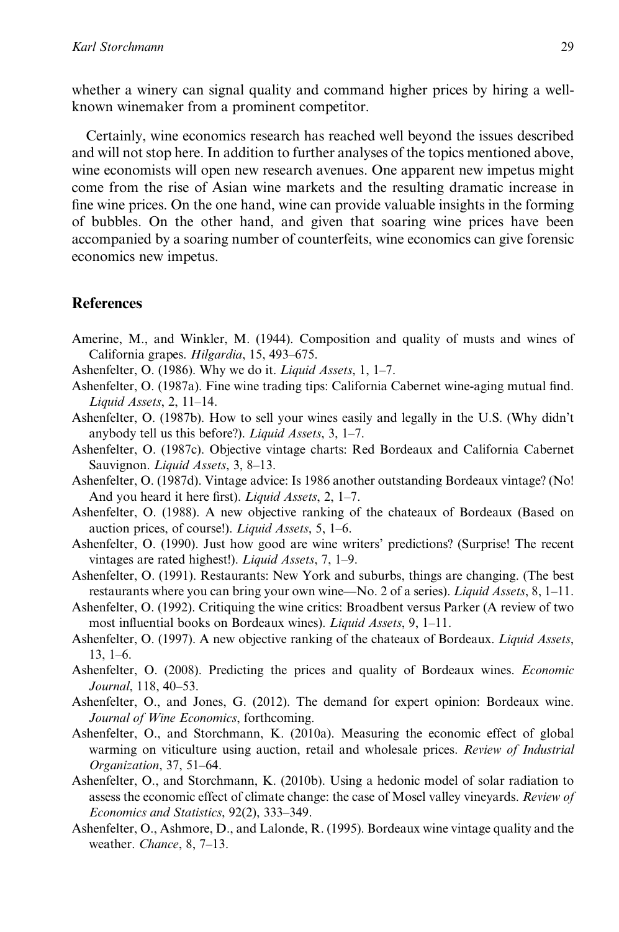<span id="page-28-0"></span>whether a winery can signal quality and command higher prices by hiring a wellknown winemaker from a prominent competitor.

Certainly, wine economics research has reached well beyond the issues described and will not stop here. In addition to further analyses of the topics mentioned above, wine economists will open new research avenues. One apparent new impetus might come from the rise of Asian wine markets and the resulting dramatic increase in fine wine prices. On the one hand, wine can provide valuable insights in the forming of bubbles. On the other hand, and given that soaring wine prices have been accompanied by a soaring number of counterfeits, wine economics can give forensic economics new impetus.

# **References**

- Amerine, M., and Winkler, M. (1944). Composition and quality of musts and wines of California grapes. Hilgardia, 15, 493–675.
- Ashenfelter, O. (1986). Why we do it. Liquid Assets, 1, 1-7.
- Ashenfelter, O. (1987a). Fine wine trading tips: California Cabernet wine-aging mutual find. Liquid Assets, 2, 11–14.
- Ashenfelter, O. (1987b). How to sell your wines easily and legally in the U.S. (Why didn't anybody tell us this before?). Liquid Assets, 3, 1–7.
- Ashenfelter, O. (1987c). Objective vintage charts: Red Bordeaux and California Cabernet Sauvignon. *Liquid Assets*, 3, 8-13.
- Ashenfelter, O. (1987d). Vintage advice: Is 1986 another outstanding Bordeaux vintage? (No! And you heard it here first). *Liquid Assets*, 2, 1–7.
- Ashenfelter, O. (1988). A new objective ranking of the chateaux of Bordeaux (Based on auction prices, of course!). Liquid Assets, 5, 1–6.
- Ashenfelter, O. (1990). Just how good are wine writers' predictions? (Surprise! The recent vintages are rated highest!). Liquid Assets, 7, 1–9.
- Ashenfelter, O. (1991). Restaurants: New York and suburbs, things are changing. (The best restaurants where you can bring your own wine—No. 2 of a series). *Liquid Assets*, 8, 1–11.
- Ashenfelter, O. (1992). Critiquing the wine critics: Broadbent versus Parker (A review of two most influential books on Bordeaux wines). Liquid Assets, 9, 1–11.
- Ashenfelter, O. (1997). A new objective ranking of the chateaux of Bordeaux. *Liquid Assets*, 13, 1–6.
- Ashenfelter, O. (2008). Predicting the prices and quality of Bordeaux wines. Economic Journal, 118, 40–53.
- Ashenfelter, O., and Jones, G. (2012). The demand for expert opinion: Bordeaux wine. Journal of Wine Economics, forthcoming.
- Ashenfelter, O., and Storchmann, K. (2010a). Measuring the economic effect of global warming on viticulture using auction, retail and wholesale prices. Review of Industrial Organization, 37, 51–64.
- Ashenfelter, O., and Storchmann, K. (2010b). Using a hedonic model of solar radiation to assess the economic effect of climate change: the case of Mosel valley vineyards. Review of Economics and Statistics, 92(2), 333–349.
- Ashenfelter, O., Ashmore, D., and Lalonde, R. (1995). Bordeaux wine vintage quality and the weather. Chance, 8, 7–13.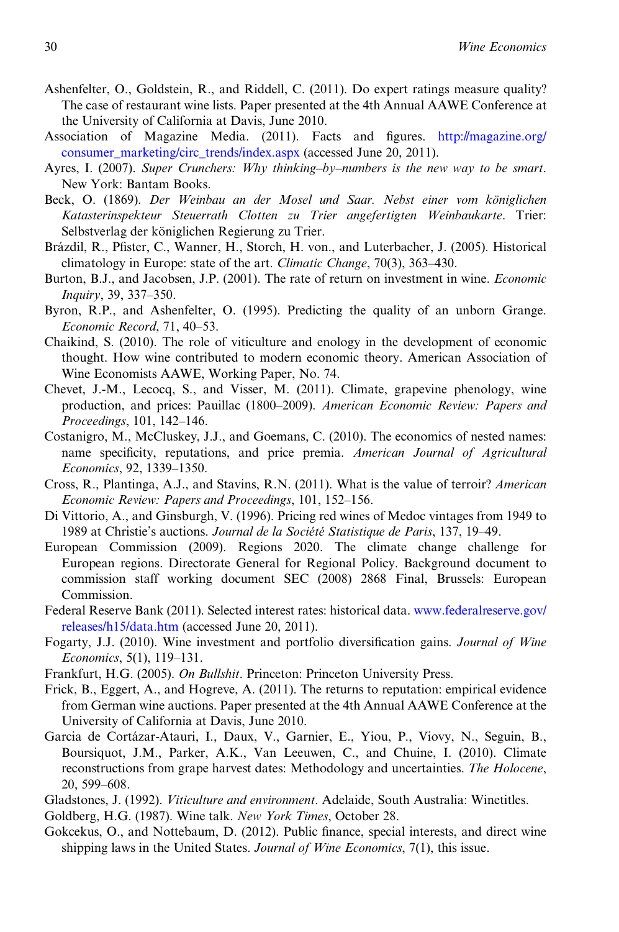- <span id="page-29-0"></span>Ashenfelter, O., Goldstein, R., and Riddell, C. (2011). Do expert ratings measure quality? The case of restaurant wine lists. Paper presented at the 4th Annual AAWE Conference at the University of California at Davis, June 2010.
- Association of Magazine Media. (2011). Facts and figures. [http://magazine.org/](http://magazine.org/consumer_marketing/circ_trends/index.aspx) [consumer\\_marketing/circ\\_trends/index.aspx](http://magazine.org/consumer_marketing/circ_trends/index.aspx) (accessed June 20, 2011).
- Ayres, I. (2007). Super Crunchers: Why thinking–by–numbers is the new way to be smart. New York: Bantam Books.
- Beck, O. (1869). Der Weinbau an der Mosel und Saar. Nebst einer vom königlichen Katasterinspekteur Steuerrath Clotten zu Trier angefertigten Weinbaukarte. Trier: Selbstverlag der königlichen Regierung zu Trier.
- Brázdil, R., Pfister, C., Wanner, H., Storch, H. von., and Luterbacher, J. (2005). Historical climatology in Europe: state of the art. Climatic Change, 70(3), 363–430.
- Burton, B.J., and Jacobsen, J.P. (2001). The rate of return on investment in wine. Economic Inquiry, 39, 337–350.
- Byron, R.P., and Ashenfelter, O. (1995). Predicting the quality of an unborn Grange. Economic Record, 71, 40–53.
- Chaikind, S. (2010). The role of viticulture and enology in the development of economic thought. How wine contributed to modern economic theory. American Association of Wine Economists AAWE, Working Paper, No. 74.
- Chevet, J.-M., Lecocq, S., and Visser, M. (2011). Climate, grapevine phenology, wine production, and prices: Pauillac (1800–2009). American Economic Review: Papers and Proceedings, 101, 142–146.
- Costanigro, M., McCluskey, J.J., and Goemans, C. (2010). The economics of nested names: name specificity, reputations, and price premia. American Journal of Agricultural Economics, 92, 1339–1350.
- Cross, R., Plantinga, A.J., and Stavins, R.N. (2011). What is the value of terroir? American Economic Review: Papers and Proceedings, 101, 152–156.
- Di Vittorio, A., and Ginsburgh, V. (1996). Pricing red wines of Medoc vintages from 1949 to 1989 at Christie's auctions. Journal de la Société Statistique de Paris, 137, 19–49.
- European Commission (2009). Regions 2020. The climate change challenge for European regions. Directorate General for Regional Policy. Background document to commission staff working document SEC (2008) 2868 Final, Brussels: European Commission.
- Federal Reserve Bank (2011). Selected interest rates: historical data. [www.federalreserve.gov/](http://www.federalreserve.gov/releases/h15/data.htm) [releases/h15/data.htm](http://www.federalreserve.gov/releases/h15/data.htm) (accessed June 20, 2011).
- Fogarty, J.J. (2010). Wine investment and portfolio diversification gains. Journal of Wine Economics, 5(1), 119–131.
- Frankfurt, H.G. (2005). On Bullshit. Princeton: Princeton University Press.
- Frick, B., Eggert, A., and Hogreve, A. (2011). The returns to reputation: empirical evidence from German wine auctions. Paper presented at the 4th Annual AAWE Conference at the University of California at Davis, June 2010.
- Garcia de Cortázar-Atauri, I., Daux, V., Garnier, E., Yiou, P., Viovy, N., Seguin, B., Boursiquot, J.M., Parker, A.K., Van Leeuwen, C., and Chuine, I. (2010). Climate reconstructions from grape harvest dates: Methodology and uncertainties. The Holocene, 20, 599–608.
- Gladstones, J. (1992). Viticulture and environment. Adelaide, South Australia: Winetitles.
- Goldberg, H.G. (1987). Wine talk. New York Times, October 28.
- Gokcekus, O., and Nottebaum, D. (2012). Public finance, special interests, and direct wine shipping laws in the United States. Journal of Wine Economics, 7(1), this issue.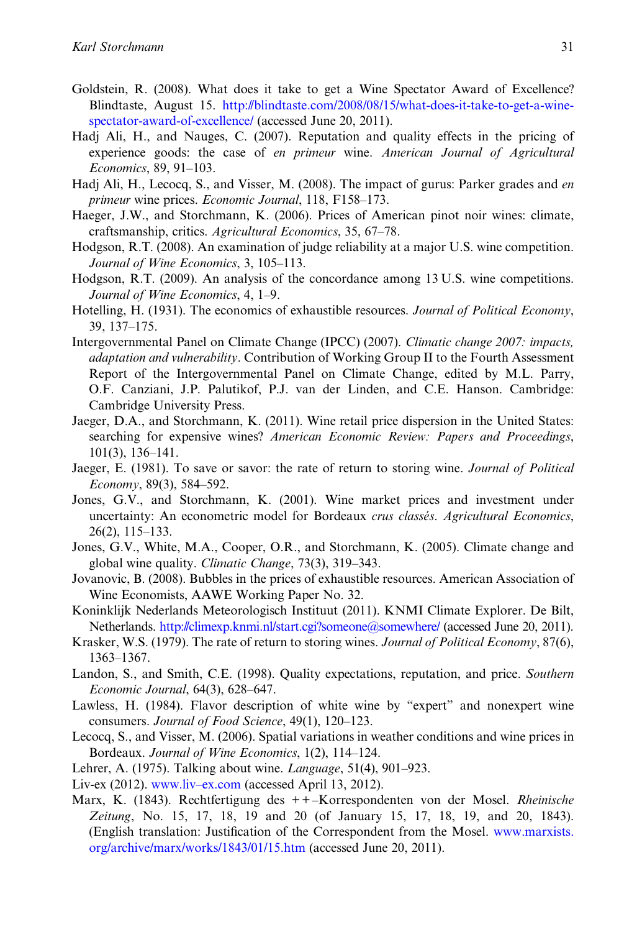- <span id="page-30-0"></span>Goldstein, R. (2008). What does it take to get a Wine Spectator Award of Excellence? Blindtaste, August 15. [http://blindtaste.com/2008/08/15/what-does-it-take-to-get-a-wine](http://blindtaste.com/2008/08/15/what-does-it-take-to-get-a-wine-spectator-award-of-excellence/)[spectator-award-of-excellence/](http://blindtaste.com/2008/08/15/what-does-it-take-to-get-a-wine-spectator-award-of-excellence/) (accessed June 20, 2011).
- Hadj Ali, H., and Nauges, C. (2007). Reputation and quality effects in the pricing of experience goods: the case of en primeur wine. American Journal of Agricultural Economics, 89, 91–103.
- Hadj Ali, H., Lecocq, S., and Visser, M. (2008). The impact of gurus: Parker grades and en primeur wine prices. Economic Journal, 118, F158–173.
- Haeger, J.W., and Storchmann, K. (2006). Prices of American pinot noir wines: climate, craftsmanship, critics. Agricultural Economics, 35, 67–78.
- Hodgson, R.T. (2008). An examination of judge reliability at a major U.S. wine competition. Journal of Wine Economics, 3, 105–113.
- Hodgson, R.T. (2009). An analysis of the concordance among 13 U.S. wine competitions. Journal of Wine Economics, 4, 1–9.
- Hotelling, H. (1931). The economics of exhaustible resources. Journal of Political Economy, 39, 137–175.
- Intergovernmental Panel on Climate Change (IPCC) (2007). Climatic change 2007: impacts, adaptation and vulnerability. Contribution of Working Group II to the Fourth Assessment Report of the Intergovernmental Panel on Climate Change, edited by M.L. Parry, O.F. Canziani, J.P. Palutikof, P.J. van der Linden, and C.E. Hanson. Cambridge: Cambridge University Press.
- Jaeger, D.A., and Storchmann, K. (2011). Wine retail price dispersion in the United States: searching for expensive wines? American Economic Review: Papers and Proceedings, 101(3), 136–141.
- Jaeger, E. (1981). To save or savor: the rate of return to storing wine. *Journal of Political* Economy, 89(3), 584–592.
- Jones, G.V., and Storchmann, K. (2001). Wine market prices and investment under uncertainty: An econometric model for Bordeaux crus classés. Agricultural Economics, 26(2), 115–133.
- Jones, G.V., White, M.A., Cooper, O.R., and Storchmann, K. (2005). Climate change and global wine quality. Climatic Change, 73(3), 319–343.
- Jovanovic, B. (2008). Bubbles in the prices of exhaustible resources. American Association of Wine Economists, AAWE Working Paper No. 32.
- Koninklijk Nederlands Meteorologisch Instituut (2011). KNMI Climate Explorer. De Bilt, Netherlands. <http://climexp.knmi.nl/start.cgi?someone@somewhere/> (accessed June 20, 2011).
- Krasker, W.S. (1979). The rate of return to storing wines. Journal of Political Economy, 87(6), 1363–1367.
- Landon, S., and Smith, C.E. (1998). Quality expectations, reputation, and price. Southern Economic Journal, 64(3), 628–647.
- Lawless, H. (1984). Flavor description of white wine by "expert" and nonexpert wine consumers. Journal of Food Science, 49(1), 120–123.
- Lecocq, S., and Visser, M. (2006). Spatial variations in weather conditions and wine prices in Bordeaux. Journal of Wine Economics, 1(2), 114–124.
- Lehrer, A. (1975). Talking about wine. Language, 51(4), 901–923.
- Liv-ex (2012). [www.liv](http://www.liv–ex.com)–ex.com (accessed April 13, 2012).
- Marx, K. (1843). Rechtfertigung des ++-Korrespondenten von der Mosel. Rheinische Zeitung, No. 15, 17, 18, 19 and 20 (of January 15, 17, 18, 19, and 20, 1843). (English translation: Justification of the Correspondent from the Mosel. [www.marxists.](http://www.marxists.org/archive/marx/works/1843/01/15.htm) [org/archive/marx/works/1843/01/15.htm](http://www.marxists.org/archive/marx/works/1843/01/15.htm) (accessed June 20, 2011).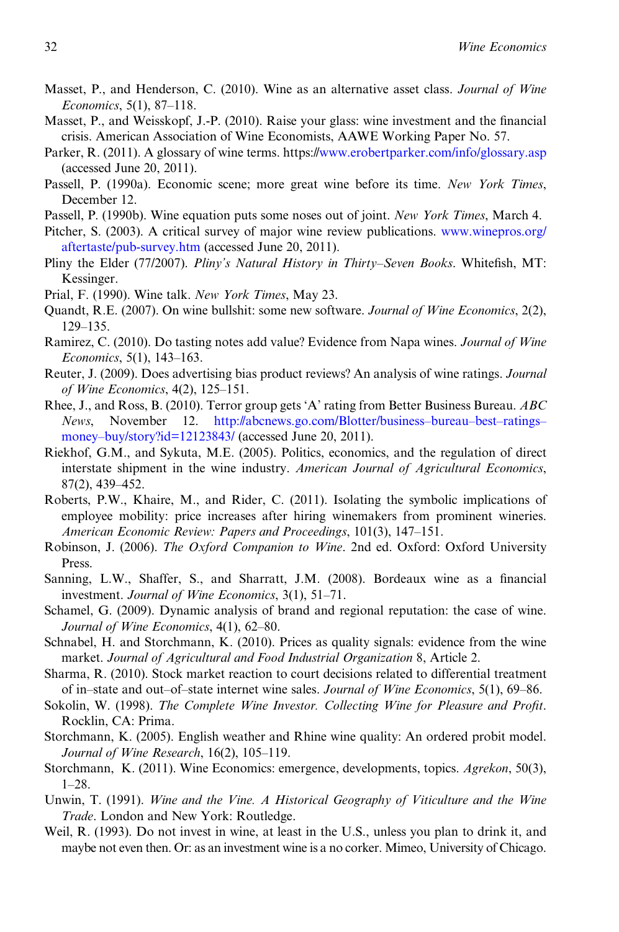- <span id="page-31-0"></span>Masset, P., and Henderson, C. (2010). Wine as an alternative asset class. Journal of Wine Economics, 5(1), 87–118.
- Masset, P., and Weisskopf, J.-P. (2010). Raise your glass: wine investment and the financial crisis. American Association of Wine Economists, AAWE Working Paper No. 57.
- Parker, R. (2011). A glossary of wine terms. https://[www.erobertparker.com/info/glossary.asp](http://www.erobertparker.com/info/glossary.asp) (accessed June 20, 2011).
- Passell, P. (1990a). Economic scene; more great wine before its time. New York Times, December 12.
- Passell, P. (1990b). Wine equation puts some noses out of joint. New York Times, March 4.
- Pitcher, S. (2003). A critical survey of major wine review publications. [www.winepros.org/](http://www.winepros.org/aftertaste/pub-survey.htm) [aftertaste/pub-survey.htm](http://www.winepros.org/aftertaste/pub-survey.htm) (accessed June 20, 2011).
- Pliny the Elder (77/2007). Pliny's Natural History in Thirty–Seven Books. Whitefish, MT: Kessinger.
- Prial, F. (1990). Wine talk. New York Times, May 23.
- Quandt, R.E. (2007). On wine bullshit: some new software. Journal of Wine Economics, 2(2), 129–135.
- Ramirez, C. (2010). Do tasting notes add value? Evidence from Napa wines. Journal of Wine Economics, 5(1), 143–163.
- Reuter, J. (2009). Does advertising bias product reviews? An analysis of wine ratings. Journal of Wine Economics, 4(2), 125–151.
- Rhee, J., and Ross, B. (2010). Terror group gets 'A' rating from Better Business Bureau. ABC News, November 12. [http://abcnews.go.com/Blotter/business](http://abcnews.go.com/Blotter/business–bureau–best–ratings–money–buy/story?id=12123843/)–bureau–best–ratings– money–[buy/story?id=12123843/](http://abcnews.go.com/Blotter/business–bureau–best–ratings–money–buy/story?id=12123843/) (accessed June 20, 2011).
- Riekhof, G.M., and Sykuta, M.E. (2005). Politics, economics, and the regulation of direct interstate shipment in the wine industry. American Journal of Agricultural Economics, 87(2), 439–452.
- Roberts, P.W., Khaire, M., and Rider, C. (2011). Isolating the symbolic implications of employee mobility: price increases after hiring winemakers from prominent wineries. American Economic Review: Papers and Proceedings, 101(3), 147–151.
- Robinson, J. (2006). The Oxford Companion to Wine. 2nd ed. Oxford: Oxford University Press.
- Sanning, L.W., Shaffer, S., and Sharratt, J.M. (2008). Bordeaux wine as a financial investment. Journal of Wine Economics, 3(1), 51–71.
- Schamel, G. (2009). Dynamic analysis of brand and regional reputation: the case of wine. Journal of Wine Economics, 4(1), 62–80.
- Schnabel, H. and Storchmann, K. (2010). Prices as quality signals: evidence from the wine market. Journal of Agricultural and Food Industrial Organization 8, Article 2.
- Sharma, R. (2010). Stock market reaction to court decisions related to differential treatment of in–state and out–of–state internet wine sales. Journal of Wine Economics, 5(1), 69–86.
- Sokolin, W. (1998). The Complete Wine Investor. Collecting Wine for Pleasure and Profit. Rocklin, CA: Prima.
- Storchmann, K. (2005). English weather and Rhine wine quality: An ordered probit model. Journal of Wine Research, 16(2), 105–119.
- Storchmann, K. (2011). Wine Economics: emergence, developments, topics. Agrekon, 50(3), 1–28.
- Unwin, T. (1991). Wine and the Vine. A Historical Geography of Viticulture and the Wine Trade. London and New York: Routledge.
- Weil, R. (1993). Do not invest in wine, at least in the U.S., unless you plan to drink it, and maybe not even then. Or: as an investment wine is a no corker. Mimeo, University of Chicago.